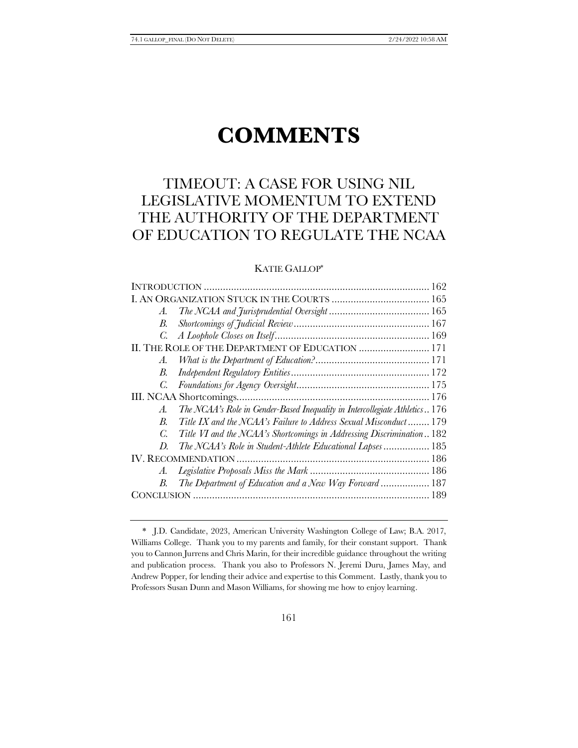# **COMMENTS**

# TIMEOUT: A CASE FOR USING NIL LEGISLATIVE MOMENTUM TO EXTEND THE AUTHORITY OF THE DEPARTMENT OF EDUCATION TO REGULATE THE NCAA

# KATIE GALLOP\*

| II. THE ROLE OF THE DEPARTMENT OF EDUCATION  171                            |
|-----------------------------------------------------------------------------|
|                                                                             |
|                                                                             |
|                                                                             |
|                                                                             |
| The NCAA's Role in Gender-Based Inequality in Intercollegiate Athletics 176 |
| Title IX and the NCAA's Failure to Address Sexual Misconduct 179            |
| Title VI and the NCAA's Shortcomings in Addressing Discrimination 182       |
| The NCAA's Role in Student-Athlete Educational Lapses 185                   |
|                                                                             |
|                                                                             |
| The Department of Education and a New Way Forward 187                       |
|                                                                             |
|                                                                             |

<sup>\*</sup> J.D. Candidate, 2023, American University Washington College of Law; B.A. 2017, Williams College. Thank you to my parents and family, for their constant support. Thank you to Cannon Jurrens and Chris Marin, for their incredible guidance throughout the writing and publication process. Thank you also to Professors N. Jeremi Duru, James May, and Andrew Popper, for lending their advice and expertise to this Comment. Lastly, thank you to Professors Susan Dunn and Mason Williams, for showing me how to enjoy learning.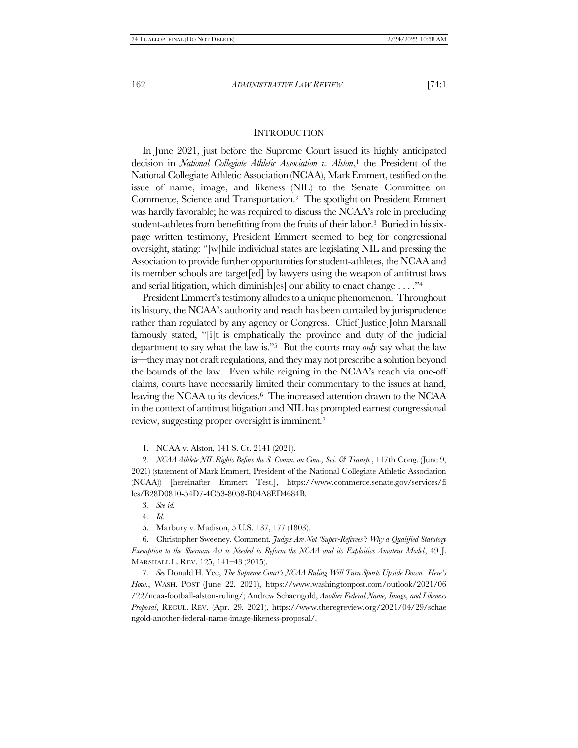# <span id="page-1-0"></span>**INTRODUCTION**

In June 2021, just before the Supreme Court issued its highly anticipated decision in *National Collegiate Athletic Association v. Alston*, <sup>1</sup> the President of the National Collegiate Athletic Association (NCAA), Mark Emmert, testified on the issue of name, image, and likeness (NIL) to the Senate Committee on Commerce, Science and Transportation.2 The spotlight on President Emmert was hardly favorable; he was required to discuss the NCAA's role in precluding student-athletes from benefitting from the fruits of their labor.3 Buried in his sixpage written testimony, President Emmert seemed to beg for congressional oversight, stating: "[w]hile individual states are legislating NIL and pressing the Association to provide further opportunities for student-athletes, the NCAA and its member schools are target[ed] by lawyers using the weapon of antitrust laws and serial litigation, which diminish[es] our ability to enact change . . . ."<sup>4</sup>

President Emmert's testimony alludes to a unique phenomenon. Throughout its history, the NCAA's authority and reach has been curtailed by jurisprudence rather than regulated by any agency or Congress. Chief Justice John Marshall famously stated, "[i]t is emphatically the province and duty of the judicial department to say what the law is."5 But the courts may *only* say what the law is—they may not craft regulations, and they may not prescribe a solution beyond the bounds of the law. Even while reigning in the NCAA's reach via one-off claims, courts have necessarily limited their commentary to the issues at hand, leaving the NCAA to its devices.<sup>6</sup> The increased attention drawn to the NCAA in the context of antitrust litigation and NIL has prompted earnest congressional review, suggesting proper oversight is imminent.<sup>7</sup>

<span id="page-1-2"></span><span id="page-1-1"></span>1. NCAA v. Alston, 141 S. Ct. 2141 (2021).

4*. Id.*

5. Marbury v. Madison, 5 U.S. 137, 177 (1803).

6. Christopher Sweeney, Comment, *Judges Are Not 'Super-Referees': Why a Qualified Statutory Exemption to the Sherman Act is Needed to Reform the NCAA and its Exploitive Amateur Model*, 49 J. MARSHALL L. REV. 125, 141–43 (2015).

7*. See* Donald H. Yee, *The Supreme Court's NCAA Ruling Will Turn Sports Upside Down. Here's How.*, WASH. POST (June 22, 2021), https://www.washingtonpost.com/outlook/2021/06 /22/ncaa-football-alston-ruling/; Andrew Schaengold, *Another Federal Name, Image, and Likeness Proposal*, REGUL. REV. (Apr. 29, 2021), https://www.theregreview.org/2021/04/29/schae ngold-another-federal-name-image-likeness-proposal/.

<sup>2</sup>*. NCAA Athlete NIL Rights Before the S. Comm. on Com., Sci. & Transp.*, 117th Cong. (June 9, 2021) (statement of Mark Emmert, President of the National Collegiate Athletic Association (NCAA)) [hereinafter Emmert Test.], https://www.commerce.senate.gov/services/fi les/B28D0810-54D7-4C53-8058-B04A8ED4684B.

<sup>3</sup>*. See id.*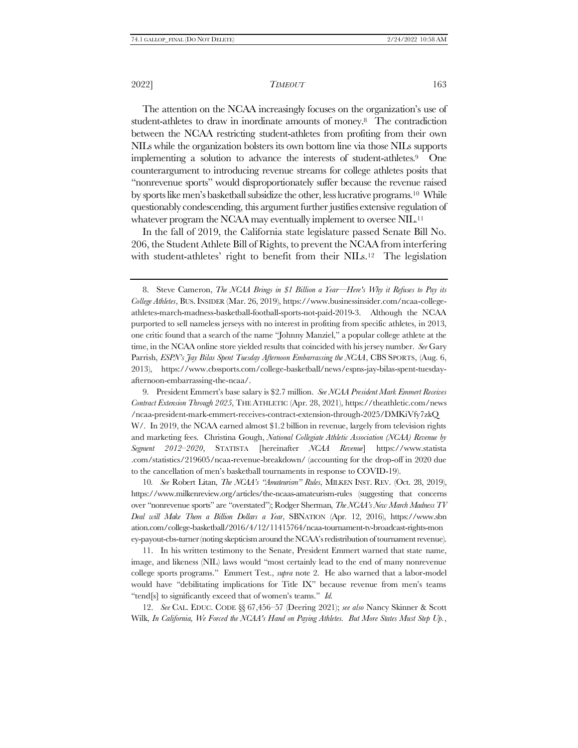<span id="page-2-0"></span>The attention on the NCAA increasingly focuses on the organization's use of student-athletes to draw in inordinate amounts of money.8 The contradiction between the NCAA restricting student-athletes from profiting from their own NILs while the organization bolsters its own bottom line via those NILs supports implementing a solution to advance the interests of student-athletes.9 One counterargument to introducing revenue streams for college athletes posits that "nonrevenue sports" would disproportionately suffer because the revenue raised by sports like men's basketball subsidize the other, less lucrative programs.10 While questionably condescending, this argument further justifies extensive regulation of whatever program the NCAA may eventually implement to oversee NIL.<sup>11</sup>

In the fall of 2019, the California state legislature passed Senate Bill No. 206, the Student Athlete Bill of Rights, to prevent the NCAA from interfering with student-athletes' right to benefit from their NILs.<sup>12</sup> The legislation

9. President Emmert's base salary is \$2.7 million. *See NCAA President Mark Emmert Receives Contract Extension Through 2025*, THE ATHLETIC (Apr. 28, 2021), https://theathletic.com/news /ncaa-president-mark-emmert-receives-contract-extension-through-2025/DMKiVfy7zkQ W/. In 2019, the NCAA earned almost \$1.2 billion in revenue, largely from television rights and marketing fees. Christina Gough, *National Collegiate Athletic Association (NCAA) Revenue by Segment 2012–2020*, STATISTA [hereinafter *NCAA Revenue*] https://www.statista .com/statistics/219605/ncaa-revenue-breakdown/ (accounting for the drop-off in 2020 due to the cancellation of men's basketball tournaments in response to COVID-19).

10*. See* Robert Litan, *The NCAA's "Amateurism" Rules*, MILKEN INST. REV. (Oct. 28, 2019), https://www.milkenreview.org/articles/the-ncaas-amateurism-rules (suggesting that concerns over "nonrevenue sports" are "overstated"); Rodger Sherman, *The NCAA's New March Madness TV Deal will Make Them a Billion Dollars a Year*, SBNATION (Apr. 12, 2016), https://www.sbn ation.com/college-basketball/2016/4/12/11415764/ncaa-tournament-tv-broadcast-rights-mon ey-payout-cbs-turner (noting skepticism around the NCAA's redistribution of tournament revenue).

11. In his written testimony to the Senate, President Emmert warned that state name, image, and likeness (NIL) laws would "most certainly lead to the end of many nonrevenue college sports programs." Emmert Test., *supra* note [2.](#page-1-0) He also warned that a labor-model would have "debilitating implications for Title IX" because revenue from men's teams "tend[s] to significantly exceed that of women's teams." *Id.*

12. *See* CAL. EDUC. CODE §§ 67,456–57 (Deering 2021); *see also* Nancy Skinner & Scott Wilk, *In California, We Forced the NCAA's Hand on Paying Athletes. But More States Must Step Up.*,

<sup>8.</sup> Steve Cameron, *The NCAA Brings in \$1 Billion a Year—Here's Why it Refuses to Pay its College Athletes*, BUS.INSIDER (Mar. 26, 2019), https://www.businessinsider.com/ncaa-collegeathletes-march-madness-basketball-football-sports-not-paid-2019-3. Although the NCAA purported to sell nameless jerseys with no interest in profiting from specific athletes, in 2013, one critic found that a search of the name "Johnny Manziel," a popular college athlete at the time, in the NCAA online store yielded results that coincided with his jersey number. *See* Gary Parrish, *ESPN's Jay Bilas Spent Tuesday Afternoon Embarrassing the NCAA*, CBS SPORTS, (Aug. 6, 2013), https://www.cbssports.com/college-basketball/news/espns-jay-bilas-spent-tuesdayafternoon-embarrassing-the-ncaa/.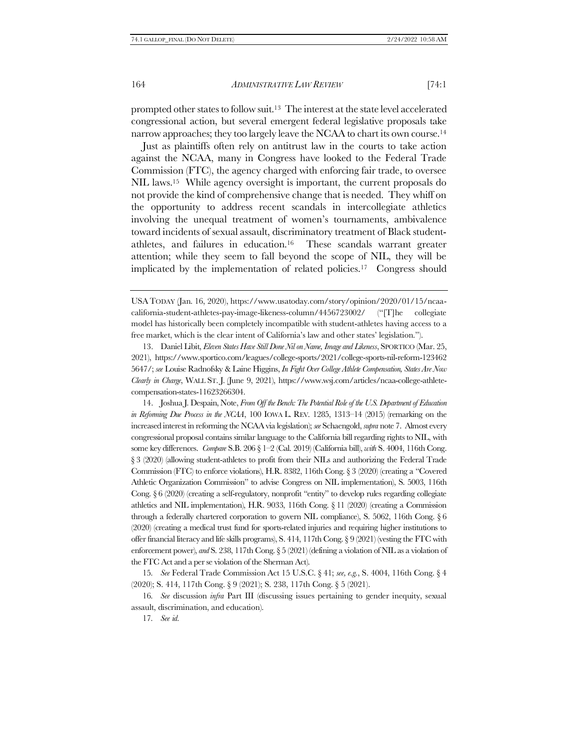<span id="page-3-0"></span>prompted other states to follow suit.13 The interest at the state level accelerated congressional action, but several emergent federal legislative proposals take narrow approaches; they too largely leave the NCAA to chart its own course. 14

Just as plaintiffs often rely on antitrust law in the courts to take action against the NCAA, many in Congress have looked to the Federal Trade Commission (FTC), the agency charged with enforcing fair trade, to oversee NIL laws.15 While agency oversight is important, the current proposals do not provide the kind of comprehensive change that is needed. They whiff on the opportunity to address recent scandals in intercollegiate athletics involving the unequal treatment of women's tournaments, ambivalence toward incidents of sexual assault, discriminatory treatment of Black studentathletes, and failures in education.16 These scandals warrant greater attention; while they seem to fall beyond the scope of NIL, they will be implicated by the implementation of related policies.17 Congress should

13. Daniel Libit, *Eleven States Have Still Done Nil on Name, Image and Likeness*, SPORTICO (Mar. 25, 2021), https://www.sportico.com/leagues/college-sports/2021/college-sports-nil-reform-123462 5647/; *see* Louise Radnofsky & Laine Higgins, *In Fight Over College Athlete Compensation, States Are Now Clearly in Charge*, WALL ST. J. (June 9, 2021), https://www.wsj.com/articles/ncaa-college-athletecompensation-states-11623266304.

14. Joshua J. Despain, Note, *From Off the Bench: The Potential Role of the U.S. Department of Education in Reforming Due Process in the NCAA*, 100 IOWA L. REV. 1285, 1313–14 (2015) (remarking on the increased interest in reforming the NCAA via legislation); *see* Schaengold, *supra* not[e 7.](#page-1-1) Almost every congressional proposal contains similar language to the California bill regarding rights to NIL, with some key differences. *Compare* S.B. 206 § 1–2 (Cal. 2019) (California bill), *with* S. 4004, 116th Cong. § 3 (2020) (allowing student-athletes to profit from their NILs and authorizing the Federal Trade Commission (FTC) to enforce violations), H.R. 8382, 116th Cong. § 3 (2020) (creating a "Covered Athletic Organization Commission" to advise Congress on NIL implementation), S. 5003, 116th Cong. § 6 (2020) (creating a self-regulatory, nonprofit "entity" to develop rules regarding collegiate athletics and NIL implementation), H.R. 9033, 116th Cong. § 11 (2020) (creating a Commission through a federally chartered corporation to govern NIL compliance), S. 5062, 116th Cong. § 6 (2020) (creating a medical trust fund for sports-related injuries and requiring higher institutions to offer financial literacy and life skills programs), S. 414, 117th Cong. § 9 (2021) (vesting the FTC with enforcement power), *and* S. 238, 117th Cong. § 5 (2021) (defining a violation of NIL as a violation of the FTC Act and a per se violation of the Sherman Act).

15*. See* Federal Trade Commission Act 15 U.S.C. § 41; *see, e.g.*, S. 4004, 116th Cong. § 4 (2020); S. 414, 117th Cong. § 9 (2021); S. 238, 117th Cong. § 5 (2021).

16*. See* discussion *infra* Part [III](#page-15-0) (discussing issues pertaining to gender inequity, sexual assault, discrimination, and education).

17*. See id.* 

USATODAY (Jan. 16, 2020), https://www.usatoday.com/story/opinion/2020/01/15/ncaacalifornia-student-athletes-pay-image-likeness-column/4456723002/ ("[T]he collegiate model has historically been completely incompatible with student-athletes having access to a free market, which is the clear intent of California's law and other states' legislation.").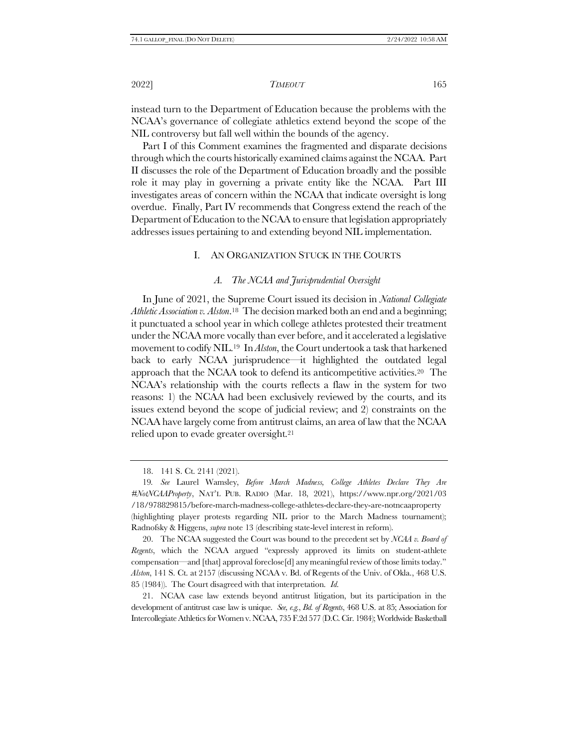instead turn to the Department of Education because the problems with the NCAA's governance of collegiate athletics extend beyond the scope of the NIL controversy but fall well within the bounds of the agency.

Part I of this Comment examines the fragmented and disparate decisions through which the courts historically examined claims against the NCAA. Part II discusses the role of the Department of Education broadly and the possible role it may play in governing a private entity like the NCAA. Part III investigates areas of concern within the NCAA that indicate oversight is long overdue. Finally, Part IV recommends that Congress extend the reach of the Department of Education to the NCAA to ensure that legislation appropriately addresses issues pertaining to and extending beyond NIL implementation.

# I. AN ORGANIZATION STUCK IN THE COURTS

# *A. The NCAA and Jurisprudential Oversight*

In June of 2021, the Supreme Court issued its decision in *National Collegiate Athletic Association v. Alston*. <sup>18</sup> The decision marked both an end and a beginning; it punctuated a school year in which college athletes protested their treatment under the NCAA more vocally than ever before, and it accelerated a legislative movement to codify NIL.19 In *Alston*, the Court undertook a task that harkened back to early NCAA jurisprudence—it highlighted the outdated legal approach that the NCAA took to defend its anticompetitive activities.20 The NCAA's relationship with the courts reflects a flaw in the system for two reasons: 1) the NCAA had been exclusively reviewed by the courts, and its issues extend beyond the scope of judicial review; and 2) constraints on the NCAA have largely come from antitrust claims, an area of law that the NCAA relied upon to evade greater oversight.<sup>21</sup>

20. The NCAA suggested the Court was bound to the precedent set by *NCAA v. Board of Regents*, which the NCAA argued "expressly approved its limits on student-athlete compensation—and [that] approval foreclose[d] any meaningful review of those limits today." *Alston*, 141 S. Ct. at 2157 (discussing NCAA v. Bd. of Regents of the Univ. of Okla., 468 U.S. 85 (1984)). The Court disagreed with that interpretation. *Id.* 

21. NCAA case law extends beyond antitrust litigation, but its participation in the development of antitrust case law is unique. *See, e.g.*, *Bd. of Regents*, 468 U.S. at 85; Association for Intercollegiate Athletics for Women v. NCAA, 735 F.2d 577 (D.C. Cir. 1984); Worldwide Basketball

<sup>18.</sup> 141 S. Ct. 2141 (2021).

<sup>19</sup>*. See* Laurel Wamsley, *Before March Madness, College Athletes Declare They Are #NotNCAAProperty*, NAT'L PUB. RADIO (Mar. 18, 2021), https://www.npr.org/2021/03 /18/978829815/before-march-madness-college-athletes-declare-they-are-notncaaproperty (highlighting player protests regarding NIL prior to the March Madness tournament); Radnofsky & Higgens, *supra* not[e 13](#page-3-0) (describing state-level interest in reform).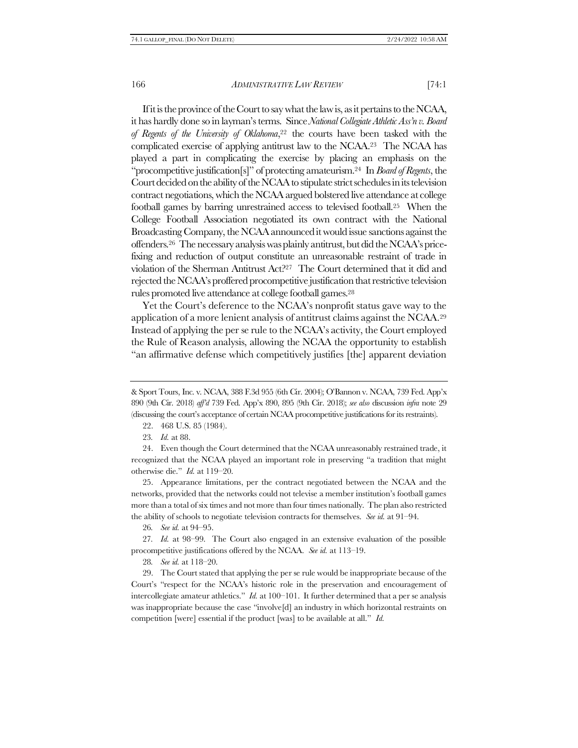If it is the province of the Court to say what the law is, as it pertains to the NCAA, it has hardly done so in layman's terms. Since *National Collegiate Athletic Ass'n v. Board of Regents of the University of Oklahoma*, <sup>22</sup> the courts have been tasked with the complicated exercise of applying antitrust law to the NCAA.23 The NCAA has played a part in complicating the exercise by placing an emphasis on the "procompetitive justification[s]" of protecting amateurism.24 In *Board of Regents*, the Court decided on the ability of the NCAA to stipulate strict schedules in its television contract negotiations, which the NCAA argued bolstered live attendance at college football games by barring unrestrained access to televised football.25 When the College Football Association negotiated its own contract with the National Broadcasting Company, the NCAA announced it would issue sanctions against the offenders.26 The necessary analysis was plainly antitrust, but did the NCAA's pricefixing and reduction of output constitute an unreasonable restraint of trade in violation of the Sherman Antitrust Act?27 The Court determined that it did and rejected the NCAA's proffered procompetitive justification that restrictive television rules promoted live attendance at college football games.<sup>28</sup>

<span id="page-5-0"></span>Yet the Court's deference to the NCAA's nonprofit status gave way to the application of a more lenient analysis of antitrust claims against the NCAA.<sup>29</sup> Instead of applying the per se rule to the NCAA's activity, the Court employed the Rule of Reason analysis, allowing the NCAA the opportunity to establish "an affirmative defense which competitively justifies [the] apparent deviation

22. 468 U.S. 85 (1984).

23*. Id.* at 88.

24. Even though the Court determined that the NCAA unreasonably restrained trade, it recognized that the NCAA played an important role in preserving "a tradition that might otherwise die." *Id.* at 119–20.

25. Appearance limitations, per the contract negotiated between the NCAA and the networks, provided that the networks could not televise a member institution's football games more than a total of six times and not more than four times nationally. The plan also restricted the ability of schools to negotiate television contracts for themselves. *See id.* at 91–94.

26*. See id.* at 94–95.

27*. Id.* at 98–99. The Court also engaged in an extensive evaluation of the possible procompetitive justifications offered by the NCAA. *See id.* at 113–19.

28*. See id.* at 118–20.

29. The Court stated that applying the per se rule would be inappropriate because of the Court's "respect for the NCAA's historic role in the preservation and encouragement of intercollegiate amateur athletics." *Id.* at 100–101. It further determined that a per se analysis was inappropriate because the case "involve[d] an industry in which horizontal restraints on competition [were] essential if the product [was] to be available at all." *Id.* 

<sup>&</sup>amp; Sport Tours, Inc. v. NCAA, 388 F.3d 955 (6th Cir. 2004); O'Bannon v. NCAA, 739 Fed. App'x 890 (9th Cir. 2018) *aff'd* 739 Fed. App'x 890, 895 (9th Cir. 2018); *see also* discussion *infra* not[e 29](#page-5-0) (discussing the court's acceptance of certain NCAA procompetitive justifications for its restraints).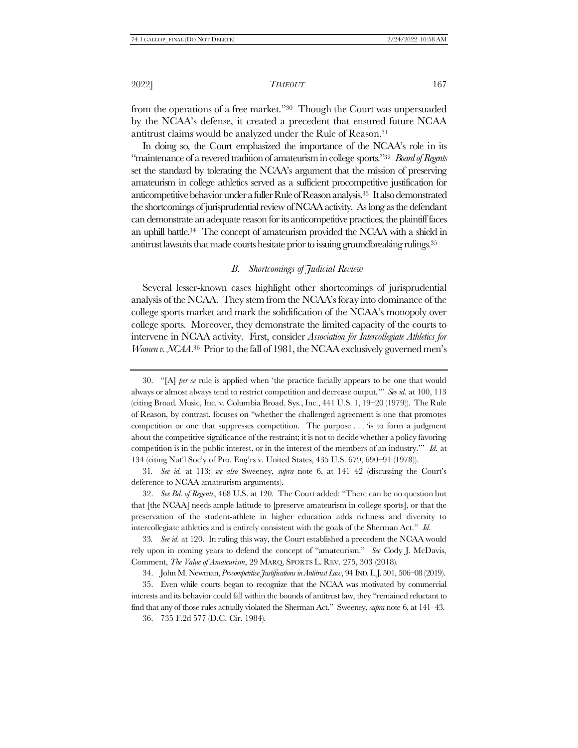from the operations of a free market."30 Though the Court was unpersuaded by the NCAA's defense, it created a precedent that ensured future NCAA antitrust claims would be analyzed under the Rule of Reason.<sup>31</sup>

In doing so, the Court emphasized the importance of the NCAA's role in its "maintenance of a revered tradition of amateurism in college sports."<sup>32</sup> *Board of Regents*  set the standard by tolerating the NCAA's argument that the mission of preserving amateurism in college athletics served as a sufficient procompetitive justification for anticompetitive behavior under a fuller Rule of Reason analysis.33 It also demonstrated the shortcomings of jurisprudential review of NCAA activity. As long as the defendant can demonstrate an adequate reason for its anticompetitive practices, the plaintiff faces an uphill battle.34 The concept of amateurism provided the NCAA with a shield in antitrust lawsuits that made courts hesitate prior to issuing groundbreaking rulings.<sup>35</sup>

# *B. Shortcomings of Judicial Review*

Several lesser-known cases highlight other shortcomings of jurisprudential analysis of the NCAA. They stem from the NCAA's foray into dominance of the college sports market and mark the solidification of the NCAA's monopoly over college sports. Moreover, they demonstrate the limited capacity of the courts to intervene in NCAA activity. First, consider *Association for Intercollegiate Athletics for Women v. NCAA*.<sup>36</sup> Prior to the fall of 1981, the NCAA exclusively governed men's

31*. See id.* at 113; *see also* Sweeney, *supra* note [6,](#page-1-2) at 141–42 (discussing the Court's deference to NCAA amateurism arguments).

32. *See Bd. of Regents*, 468 U.S. at 120. The Court added: "There can be no question but that [the NCAA] needs ample latitude to [preserve amateurism in college sports], or that the preservation of the student-athlete in higher education adds richness and diversity to intercollegiate athletics and is entirely consistent with the goals of the Sherman Act." *Id.* 

33*. See id.* at 120. In ruling this way, the Court established a precedent the NCAA would rely upon in coming years to defend the concept of "amateurism." *See* Cody J. McDavis, Comment, *The Value of Amateurism*, 29 MARQ. SPORTS L. REV. 275, 303 (2018).

34. John M. Newman, *Procompetitive Justifications in Antitrust Law*, 94 IND.L.J. 501, 506–08 (2019).

35. Even while courts began to recognize that the NCAA was motivated by commercial interests and its behavior could fall within the bounds of antitrust law, they "remained reluctant to find that any of those rules actually violated the Sherman Act." Sweeney, *supra* not[e 6,](#page-1-2) at 141–43.

36. 735 F.2d 577 (D.C. Cir. 1984).

<sup>30.</sup> "[A] *per se* rule is applied when 'the practice facially appears to be one that would always or almost always tend to restrict competition and decrease output.'" *See id.* at 100, 113 (citing Broad. Music, Inc. v. Columbia Broad. Sys., Inc., 441 U.S. 1, 19–20 (1979)). The Rule of Reason, by contrast, focuses on "whether the challenged agreement is one that promotes competition or one that suppresses competition. The purpose . . . 'is to form a judgment about the competitive significance of the restraint; it is not to decide whether a policy favoring competition is in the public interest, or in the interest of the members of an industry.'" *Id.* at 134 (citing Nat'l Soc'y of Pro. Eng'rs v. United States, 435 U.S. 679, 690–91 (1978)).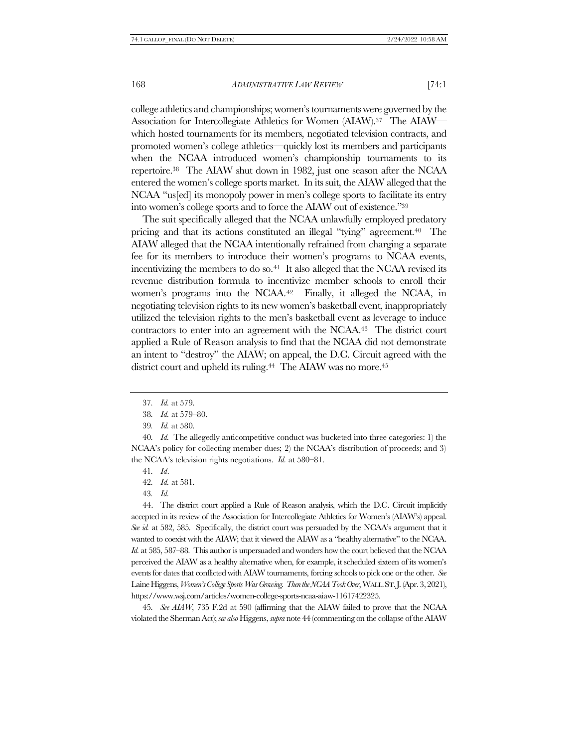college athletics and championships; women's tournaments were governed by the Association for Intercollegiate Athletics for Women (AIAW).37 The AIAW which hosted tournaments for its members, negotiated television contracts, and promoted women's college athletics—quickly lost its members and participants when the NCAA introduced women's championship tournaments to its repertoire.38 The AIAW shut down in 1982, just one season after the NCAA entered the women's college sports market. In its suit, the AIAW alleged that the NCAA "us[ed] its monopoly power in men's college sports to facilitate its entry into women's college sports and to force the AIAW out of existence."<sup>39</sup>

The suit specifically alleged that the NCAA unlawfully employed predatory pricing and that its actions constituted an illegal "tying" agreement.40 The AIAW alleged that the NCAA intentionally refrained from charging a separate fee for its members to introduce their women's programs to NCAA events, incentivizing the members to do so.<sup>41</sup> It also alleged that the NCAA revised its revenue distribution formula to incentivize member schools to enroll their women's programs into the NCAA.<sup>42</sup> Finally, it alleged the NCAA, in negotiating television rights to its new women's basketball event, inappropriately utilized the television rights to the men's basketball event as leverage to induce contractors to enter into an agreement with the NCAA.43 The district court applied a Rule of Reason analysis to find that the NCAA did not demonstrate an intent to "destroy" the AIAW; on appeal, the D.C. Circuit agreed with the district court and upheld its ruling.<sup>44</sup> The AIAW was no more.<sup>45</sup>

43*. Id.*

44. The district court applied a Rule of Reason analysis, which the D.C. Circuit implicitly accepted in its review of the Association for Intercollegiate Athletics for Women's (AIAW's) appeal. *See id.* at 582, 585. Specifically, the district court was persuaded by the NCAA's argument that it wanted to coexist with the AIAW; that it viewed the AIAW as a "healthy alternative" to the NCAA. *Id.* at 585, 587–88. This author is unpersuaded and wonders how the court believed that the NCAA perceived the AIAW as a healthy alternative when, for example, it scheduled sixteen of its women's events for dates that conflicted with AIAW tournaments, forcing schools to pick one or the other. *See*  Laine Higgens, *Women's College Sports Was Growing. Then the NCAA Took Over*, WALL.ST.J. (Apr. 3, 2021), https://www.wsj.com/articles/women-college-sports-ncaa-aiaw-11617422325.

45*. See AIAW*, 735 F.2d at 590 (affirming that the AIAW failed to prove that the NCAA violated the Sherman Act); *see also* Higgens, *supra* not[e 44](#page-7-0) (commenting on the collapse of theAIAW

<span id="page-7-0"></span><sup>37</sup>*. Id.* at 579.

<sup>38</sup>*. Id.* at 579–80.

<sup>39</sup>*. Id.* at 580.

<sup>40</sup>*. Id.* The allegedly anticompetitive conduct was bucketed into three categories: 1) the NCAA's policy for collecting member dues; 2) the NCAA's distribution of proceeds; and 3) the NCAA's television rights negotiations. *Id.* at 580–81.

<sup>41</sup>*. Id*.

<sup>42</sup>*. Id.* at 581.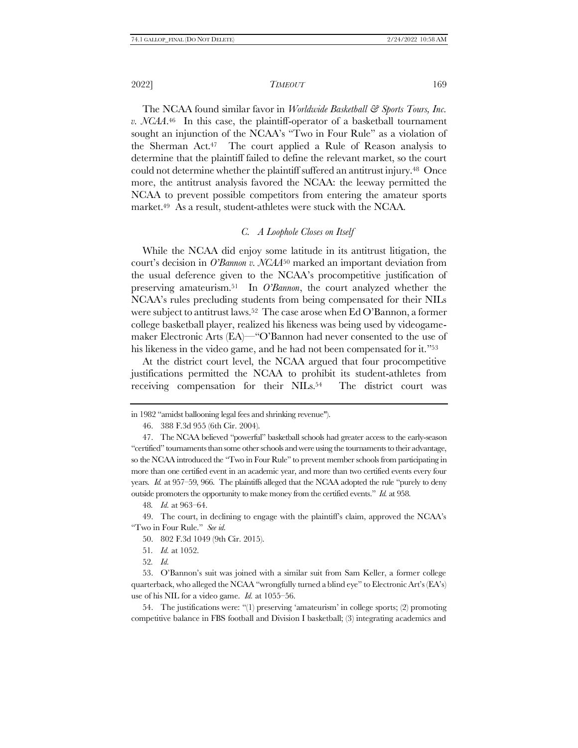The NCAA found similar favor in *Worldwide Basketball & Sports Tours, Inc. v. NCAA*. <sup>46</sup> In this case, the plaintiff-operator of a basketball tournament sought an injunction of the NCAA's "Two in Four Rule" as a violation of the Sherman Act.47 The court applied a Rule of Reason analysis to determine that the plaintiff failed to define the relevant market, so the court could not determine whether the plaintiff suffered an antitrust injury.48 Once more, the antitrust analysis favored the NCAA: the leeway permitted the NCAA to prevent possible competitors from entering the amateur sports market.49 As a result, student-athletes were stuck with the NCAA.

# *C. A Loophole Closes on Itself*

While the NCAA did enjoy some latitude in its antitrust litigation, the court's decision in *O'Bannon v. NCAA*<sup>50</sup> marked an important deviation from the usual deference given to the NCAA's procompetitive justification of preserving amateurism.51 In *O'Bannon*, the court analyzed whether the NCAA's rules precluding students from being compensated for their NILs were subject to antitrust laws.52 The case arose when Ed O'Bannon, a former college basketball player, realized his likeness was being used by videogamemaker Electronic Arts (EA)—"O'Bannon had never consented to the use of his likeness in the video game, and he had not been compensated for it."<sup>53</sup>

At the district court level, the NCAA argued that four procompetitive justifications permitted the NCAA to prohibit its student-athletes from receiving compensation for their NILs.<sup>54</sup> The district court was

48*. Id.* at 963–64.

- 50. 802 F.3d 1049 (9th Cir. 2015).
- 51*. Id.* at 1052.
- 52*. Id.*

54. The justifications were: "(1) preserving 'amateurism' in college sports; (2) promoting competitive balance in FBS football and Division I basketball; (3) integrating academics and

in 1982 "amidst ballooning legal fees and shrinking revenue").

<sup>46.</sup> 388 F.3d 955 (6th Cir. 2004).

<sup>47.</sup> The NCAA believed "powerful" basketball schools had greater access to the early-season "certified" tournaments than some other schools andwere using the tournaments to their advantage, so the NCAA introduced the "Two in Four Rule" to prevent member schools from participating in more than one certified event in an academic year, and more than two certified events every four years. *Id.* at 957–59, 966. The plaintiffs alleged that the NCAA adopted the rule "purely to deny outside promoters the opportunity to make money from the certified events." *Id.* at 958.

<sup>49.</sup> The court, in declining to engage with the plaintiff's claim, approved the NCAA's "Two in Four Rule." *See id.*

<sup>53.</sup> O'Bannon's suit was joined with a similar suit from Sam Keller, a former college quarterback, who alleged the NCAA "wrongfully turned a blind eye" to Electronic Art's (EA's) use of his NIL for a video game. *Id.* at 1055–56.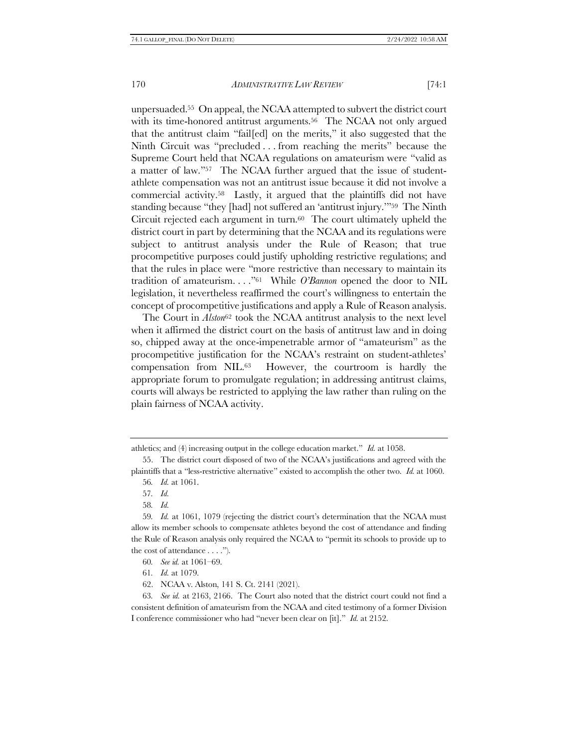unpersuaded.55 On appeal, the NCAA attempted to subvert the district court with its time-honored antitrust arguments.<sup>56</sup> The NCAA not only argued that the antitrust claim "fail[ed] on the merits," it also suggested that the Ninth Circuit was "precluded . . . from reaching the merits" because the Supreme Court held that NCAA regulations on amateurism were "valid as a matter of law."57 The NCAA further argued that the issue of studentathlete compensation was not an antitrust issue because it did not involve a commercial activity.58 Lastly, it argued that the plaintiffs did not have standing because "they [had] not suffered an 'antitrust injury.'"59 The Ninth Circuit rejected each argument in turn.<sup>60</sup> The court ultimately upheld the district court in part by determining that the NCAA and its regulations were subject to antitrust analysis under the Rule of Reason; that true procompetitive purposes could justify upholding restrictive regulations; and that the rules in place were "more restrictive than necessary to maintain its tradition of amateurism. . . ."61 While *O'Bannon* opened the door to NIL legislation, it nevertheless reaffirmed the court's willingness to entertain the concept of procompetitive justifications and apply a Rule of Reason analysis.

The Court in *Alston*<sup>62</sup> took the NCAA antitrust analysis to the next level when it affirmed the district court on the basis of antitrust law and in doing so, chipped away at the once-impenetrable armor of "amateurism" as the procompetitive justification for the NCAA's restraint on student-athletes' compensation from NIL.63 However, the courtroom is hardly the appropriate forum to promulgate regulation; in addressing antitrust claims, courts will always be restricted to applying the law rather than ruling on the plain fairness of NCAA activity.

athletics; and (4) increasing output in the college education market." *Id.* at 1058.

<sup>55.</sup> The district court disposed of two of the NCAA's justifications and agreed with the plaintiffs that a "less-restrictive alternative" existed to accomplish the other two. *Id.* at 1060.

<sup>56</sup>*. Id.* at 1061.

<sup>57</sup>*. Id.*

<sup>58</sup>*. Id.*

<sup>59</sup>*. Id.* at 1061, 1079 (rejecting the district court's determination that the NCAA must allow its member schools to compensate athletes beyond the cost of attendance and finding the Rule of Reason analysis only required the NCAA to "permit its schools to provide up to the cost of attendance . . . .").

<sup>60</sup>*. See id.* at 1061–69.

<sup>61</sup>*. Id.* at 1079.

<sup>62.</sup> NCAA v. Alston, 141 S. Ct. 2141 (2021).

<sup>63</sup>*. See id.* at 2163, 2166. The Court also noted that the district court could not find a consistent definition of amateurism from the NCAA and cited testimony of a former Division I conference commissioner who had "never been clear on [it]." *Id.* at 2152.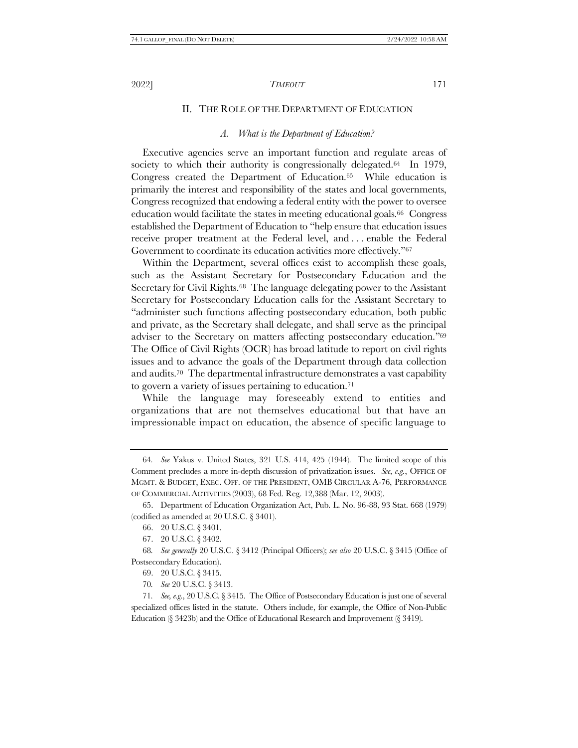# II. THE ROLE OF THE DEPARTMENT OF EDUCATION

# *A. What is the Department of Education?*

<span id="page-10-0"></span>Executive agencies serve an important function and regulate areas of society to which their authority is congressionally delegated.<sup>64</sup> In 1979, Congress created the Department of Education.<sup>65</sup> While education is primarily the interest and responsibility of the states and local governments, Congress recognized that endowing a federal entity with the power to oversee education would facilitate the states in meeting educational goals.66 Congress established the Department of Education to "help ensure that education issues receive proper treatment at the Federal level, and . . . enable the Federal Government to coordinate its education activities more effectively."<sup>67</sup>

Within the Department, several offices exist to accomplish these goals, such as the Assistant Secretary for Postsecondary Education and the Secretary for Civil Rights.68 The language delegating power to the Assistant Secretary for Postsecondary Education calls for the Assistant Secretary to "administer such functions affecting postsecondary education, both public and private, as the Secretary shall delegate, and shall serve as the principal adviser to the Secretary on matters affecting postsecondary education."<sup>69</sup> The Office of Civil Rights (OCR) has broad latitude to report on civil rights issues and to advance the goals of the Department through data collection and audits.70 The departmental infrastructure demonstrates a vast capability to govern a variety of issues pertaining to education.<sup>71</sup>

While the language may foreseeably extend to entities and organizations that are not themselves educational but that have an impressionable impact on education, the absence of specific language to

<sup>64</sup>*. See* Yakus v. United States, 321 U.S. 414, 425 (1944). The limited scope of this Comment precludes a more in-depth discussion of privatization issues. *See, e.g.*, OFFICE OF MGMT. & BUDGET, EXEC. OFF. OF THE PRESIDENT, OMB CIRCULAR A-76, PERFORMANCE OF COMMERCIAL ACTIVITIES (2003), 68 Fed. Reg. 12,388 (Mar. 12, 2003).

<sup>65.</sup> Department of Education Organization Act, Pub. L. No. 96-88, 93 Stat. 668 (1979) (codified as amended at 20 U.S.C. § 3401).

<sup>66.</sup> 20 U.S.C. § 3401.

<sup>67.</sup> 20 U.S.C. § 3402.

<sup>68</sup>*. See generally* 20 U.S.C. § 3412 (Principal Officers); *see also* 20 U.S.C. § 3415 (Office of Postsecondary Education).

<sup>69.</sup> 20 U.S.C. § 3415.

<sup>70</sup>*. See* 20 U.S.C. § 3413.

<sup>71</sup>*. See, e.g*., 20 U.S.C. § 3415. The Office of Postsecondary Education is just one of several specialized offices listed in the statute. Others include, for example, the Office of Non-Public Education (§ 3423b) and the Office of Educational Research and Improvement (§ 3419).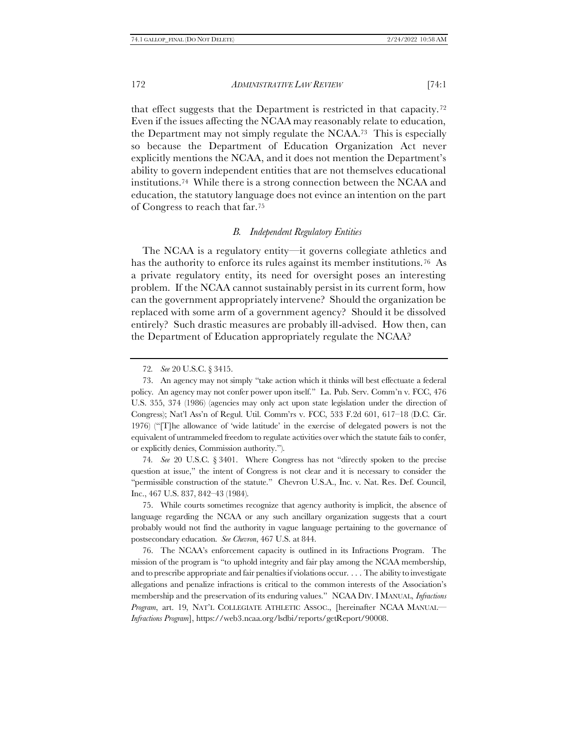that effect suggests that the Department is restricted in that capacity.<sup>72</sup> Even if the issues affecting the NCAA may reasonably relate to education, the Department may not simply regulate the NCAA.73 This is especially so because the Department of Education Organization Act never explicitly mentions the NCAA, and it does not mention the Department's ability to govern independent entities that are not themselves educational institutions.74 While there is a strong connection between the NCAA and education, the statutory language does not evince an intention on the part of Congress to reach that far.<sup>75</sup>

# <span id="page-11-0"></span>*B. Independent Regulatory Entities*

<span id="page-11-1"></span>The NCAA is a regulatory entity—it governs collegiate athletics and has the authority to enforce its rules against its member institutions.<sup>76</sup> As a private regulatory entity, its need for oversight poses an interesting problem. If the NCAA cannot sustainably persist in its current form, how can the government appropriately intervene? Should the organization be replaced with some arm of a government agency? Should it be dissolved entirely? Such drastic measures are probably ill-advised. How then, can the Department of Education appropriately regulate the NCAA?

74*. See* 20 U.S.C. § 3401. Where Congress has not "directly spoken to the precise question at issue," the intent of Congress is not clear and it is necessary to consider the "permissible construction of the statute." Chevron U.S.A., Inc. v. Nat. Res. Def. Council, Inc., 467 U.S. 837, 842–43 (1984).

75. While courts sometimes recognize that agency authority is implicit, the absence of language regarding the NCAA or any such ancillary organization suggests that a court probably would not find the authority in vague language pertaining to the governance of postsecondary education. *See Chevron*, 467 U.S. at 844.

76. The NCAA's enforcement capacity is outlined in its Infractions Program. The mission of the program is "to uphold integrity and fair play among the NCAA membership, and to prescribe appropriate and fair penalties if violations occur. . . . The ability to investigate allegations and penalize infractions is critical to the common interests of the Association's membership and the preservation of its enduring values." NCAA DIV. I MANUAL, *Infractions Program*, art. 19, NAT'L COLLEGIATE ATHLETIC ASSOC., [hereinafter NCAA MANUAL— *Infractions Program*], https://web3.ncaa.org/lsdbi/reports/getReport/90008.

<sup>72</sup>*. See* 20 U.S.C. § 3415.

<sup>73.</sup> An agency may not simply "take action which it thinks will best effectuate a federal policy. An agency may not confer power upon itself." La. Pub. Serv. Comm'n v. FCC, 476 U.S. 355, 374 (1986) (agencies may only act upon state legislation under the direction of Congress); Nat'l Ass'n of Regul. Util. Comm'rs v. FCC, 533 F.2d 601, 617–18 (D.C. Cir. 1976) ("[T]he allowance of 'wide latitude' in the exercise of delegated powers is not the equivalent of untrammeled freedom to regulate activities over which the statute fails to confer, or explicitly denies, Commission authority.").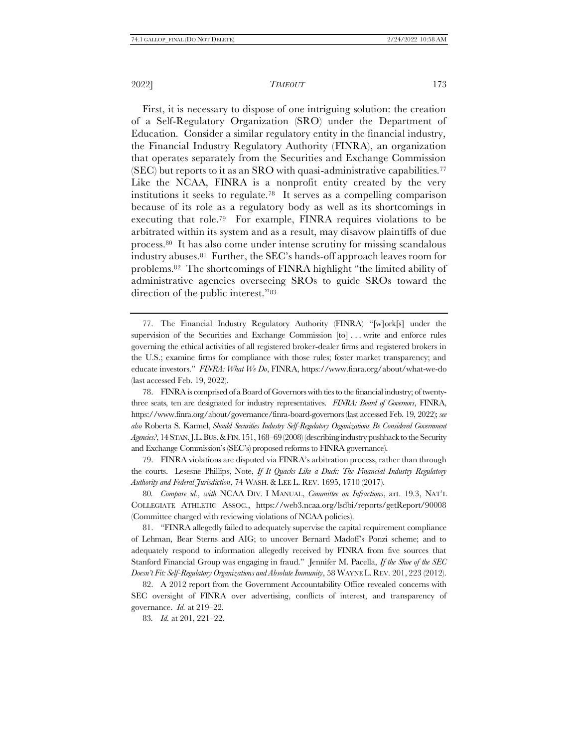First, it is necessary to dispose of one intriguing solution: the creation of a Self-Regulatory Organization (SRO) under the Department of Education. Consider a similar regulatory entity in the financial industry, the Financial Industry Regulatory Authority (FINRA), an organization that operates separately from the Securities and Exchange Commission  $(SEC)$  but reports to it as an SRO with quasi-administrative capabilities.<sup>77</sup> Like the NCAA, FINRA is a nonprofit entity created by the very institutions it seeks to regulate.78 It serves as a compelling comparison because of its role as a regulatory body as well as its shortcomings in executing that role.79 For example, FINRA requires violations to be arbitrated within its system and as a result, may disavow plaintiffs of due process.80 It has also come under intense scrutiny for missing scandalous industry abuses.<sup>81</sup> Further, the SEC's hands-off approach leaves room for problems.<sup>82</sup> The shortcomings of FINRA highlight "the limited ability of administrative agencies overseeing SROs to guide SROs toward the direction of the public interest."<sup>83</sup>

79. FINRA violations are disputed via FINRA's arbitration process, rather than through the courts. Lesesne Phillips, Note, *If It Quacks Like a Duck: The Financial Industry Regulatory Authority and Federal Jurisdiction*, 74 WASH.& LEE L. REV. 1695, 1710 (2017).

80*. Compare id.*, *with* NCAA DIV. I MANUAL, *Committee on Infractions*, art. 19.3, NAT'L COLLEGIATE ATHLETIC ASSOC., https://web3.ncaa.org/lsdbi/reports/getReport/90008 (Committee charged with reviewing violations of NCAA policies).

81. "FINRA allegedly failed to adequately supervise the capital requirement compliance of Lehman, Bear Sterns and AIG; to uncover Bernard Madoff's Ponzi scheme; and to adequately respond to information allegedly received by FINRA from five sources that Stanford Financial Group was engaging in fraud." Jennifer M. Pacella, *If the Shoe of the SEC Doesn't Fit: Self-Regulatory Organizations and Absolute Immunity*, 58 WAYNE L. REV. 201, 223 (2012).

82. A 2012 report from the Government Accountability Office revealed concerns with SEC oversight of FINRA over advertising, conflicts of interest, and transparency of governance. *Id.* at 219–22.

83*. Id.* at 201, 221–22.

<sup>77.</sup> The Financial Industry Regulatory Authority (FINRA) "[w]ork[s] under the supervision of the Securities and Exchange Commission [to] . . . write and enforce rules governing the ethical activities of all registered broker-dealer firms and registered brokers in the U.S.; examine firms for compliance with those rules; foster market transparency; and educate investors." *FINRA: What We Do*, FINRA, https://www.finra.org/about/what-we-do (last accessed Feb. 19, 2022).

<sup>78.</sup> FINRA is comprised of a Board of Governors with ties to the financial industry; of twentythree seats, ten are designated for industry representatives. *FINRA: Board of Governors*, FINRA, https://www.finra.org/about/governance/finra-board-governors (last accessed Feb. 19, 2022); *see also* Roberta S. Karmel, *Should Securities Industry Self-Regulatory Organizations Be Considered Government Agencies?*, 14 STAN.J.L.BUS.&FIN. 151, 168–69 (2008) (describing industry pushback to the Security and Exchange Commission's (SEC's) proposed reforms to FINRA governance).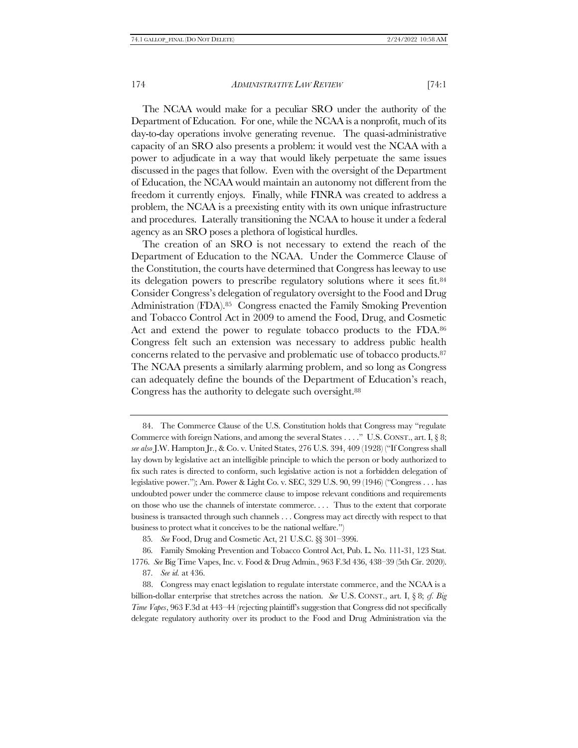The NCAA would make for a peculiar SRO under the authority of the Department of Education. For one, while the NCAA is a nonprofit, much of its day-to-day operations involve generating revenue. The quasi-administrative capacity of an SRO also presents a problem: it would vest the NCAA with a power to adjudicate in a way that would likely perpetuate the same issues discussed in the pages that follow. Even with the oversight of the Department of Education, the NCAA would maintain an autonomy not different from the freedom it currently enjoys. Finally, while FINRA was created to address a problem, the NCAA is a preexisting entity with its own unique infrastructure and procedures. Laterally transitioning the NCAA to house it under a federal agency as an SRO poses a plethora of logistical hurdles.

The creation of an SRO is not necessary to extend the reach of the Department of Education to the NCAA. Under the Commerce Clause of the Constitution, the courts have determined that Congress has leeway to use its delegation powers to prescribe regulatory solutions where it sees fit.<sup>84</sup> Consider Congress's delegation of regulatory oversight to the Food and Drug Administration (FDA).85 Congress enacted the Family Smoking Prevention and Tobacco Control Act in 2009 to amend the Food, Drug, and Cosmetic Act and extend the power to regulate tobacco products to the FDA.<sup>86</sup> Congress felt such an extension was necessary to address public health concerns related to the pervasive and problematic use of tobacco products.<sup>87</sup> The NCAA presents a similarly alarming problem, and so long as Congress can adequately define the bounds of the Department of Education's reach, Congress has the authority to delegate such oversight.<sup>88</sup>

86*.* Family Smoking Prevention and Tobacco Control Act, Pub. L. No. 111-31, 123 Stat. 1776. *See* Big Time Vapes, Inc. v. Food & Drug Admin., 963 F.3d 436, 438–39 (5th Cir. 2020).

87*. See id.* at 436.

<sup>84.</sup> The Commerce Clause of the U.S. Constitution holds that Congress may "regulate Commerce with foreign Nations, and among the several States . . . ." U.S. CONST., art. I, § 8; *see also* J.W. Hampton Jr., & Co. v. United States, 276 U.S. 394, 409 (1928) ("If Congress shall lay down by legislative act an intelligible principle to which the person or body authorized to fix such rates is directed to conform, such legislative action is not a forbidden delegation of legislative power."); Am. Power & Light Co. v. SEC, 329 U.S. 90, 99 (1946) ("Congress . . . has undoubted power under the commerce clause to impose relevant conditions and requirements on those who use the channels of interstate commerce. . . . Thus to the extent that corporate business is transacted through such channels . . . Congress may act directly with respect to that business to protect what it conceives to be the national welfare.")

<sup>85</sup>*. See* Food, Drug and Cosmetic Act, 21 U.S.C. §§ 301–399i.

<sup>88.</sup> Congress may enact legislation to regulate interstate commerce, and the NCAA is a billion-dollar enterprise that stretches across the nation. *See* U.S. CONST., art. I, § 8; *cf. Big Time Vapes*, 963 F.3d at 443–44 (rejecting plaintiff's suggestion that Congress did not specifically delegate regulatory authority over its product to the Food and Drug Administration via the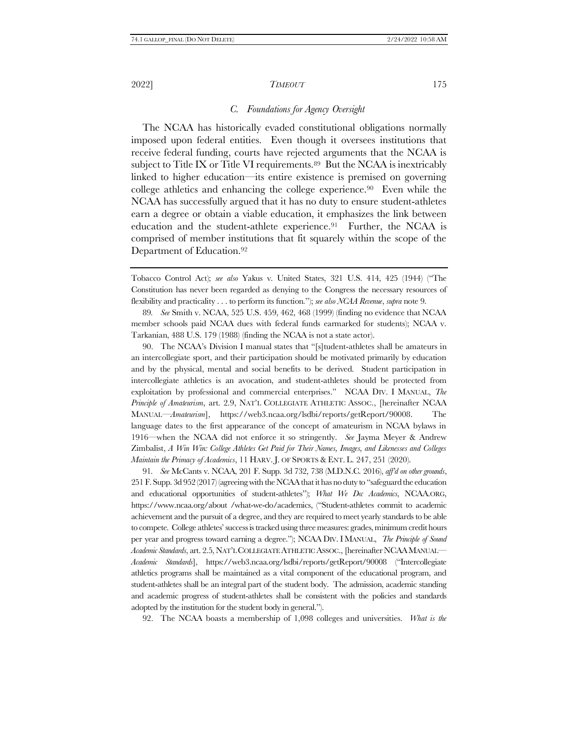# <span id="page-14-1"></span><span id="page-14-0"></span>*C. Foundations for Agency Oversight*

The NCAA has historically evaded constitutional obligations normally imposed upon federal entities. Even though it oversees institutions that receive federal funding, courts have rejected arguments that the NCAA is subject to Title IX or Title VI requirements.<sup>89</sup> But the NCAA is inextricably linked to higher education—its entire existence is premised on governing college athletics and enhancing the college experience.90 Even while the NCAA has successfully argued that it has no duty to ensure student-athletes earn a degree or obtain a viable education, it emphasizes the link between education and the student-athlete experience.<sup>91</sup> Further, the NCAA is comprised of member institutions that fit squarely within the scope of the Department of Education.<sup>92</sup>

89*. See* Smith v. NCAA, 525 U.S. 459, 462, 468 (1999) (finding no evidence that NCAA member schools paid NCAA dues with federal funds earmarked for students); NCAA v. Tarkanian, 488 U.S. 179 (1988) (finding the NCAA is not a state actor).

90. The NCAA's Division I manual states that "[s]tudent-athletes shall be amateurs in an intercollegiate sport, and their participation should be motivated primarily by education and by the physical, mental and social benefits to be derived. Student participation in intercollegiate athletics is an avocation, and student-athletes should be protected from exploitation by professional and commercial enterprises." NCAA DIV. I MANUAL, *The Principle of Amateurism*, art. 2.9, NAT'L COLLEGIATE ATHLETIC ASSOC., [hereinafter NCAA MANUAL—*Amateurism*], https://web3.ncaa.org/lsdbi/reports/getReport/90008. The language dates to the first appearance of the concept of amateurism in NCAA bylaws in 1916—when the NCAA did not enforce it so stringently. *See* Jayma Meyer & Andrew Zimbalist, *A Win Win: College Athletes Get Paid for Their Names, Images, and Likenesses and Colleges Maintain the Primacy of Academics*, 11 HARV. J. OF SPORTS & ENT. L. 247, 251 (2020).

91*. See* McCants v. NCAA, 201 F. Supp. 3d 732, 738 (M.D.N.C. 2016), *aff'd on other grounds*, 251 F. Supp. 3d 952 (2017) (agreeing with the NCAA that it has no duty to "safeguard the education and educational opportunities of student-athletes"); *What We Do: Academics*, NCAA.ORG, https://www.ncaa.org/about /what-we-do/academics, ("Student-athletes commit to academic achievement and the pursuit of a degree, and they are required to meet yearly standards to be able to compete. College athletes' success is tracked using three measures: grades, minimum credit hours per year and progress toward earning a degree."); NCAA DIV. I MANUAL, *The Principle of Sound Academic Standards*, art. 2.5, NAT'L COLLEGIATE ATHLETIC ASSOC., [hereinafter NCAAMANUAL— *Academic Standards*], https://web3.ncaa.org/lsdbi/reports/getReport/90008 ("Intercollegiate athletics programs shall be maintained as a vital component of the educational program, and student-athletes shall be an integral part of the student body. The admission, academic standing and academic progress of student-athletes shall be consistent with the policies and standards adopted by the institution for the student body in general.").

92. The NCAA boasts a membership of 1,098 colleges and universities. *What is the* 

Tobacco Control Act); *see also* Yakus v. United States, 321 U.S. 414, 425 (1944) ("The Constitution has never been regarded as denying to the Congress the necessary resources of flexibility and practicality . . . to perform its function*.*"); *see also NCAA Revenue*, *supra* not[e 9.](#page-2-0)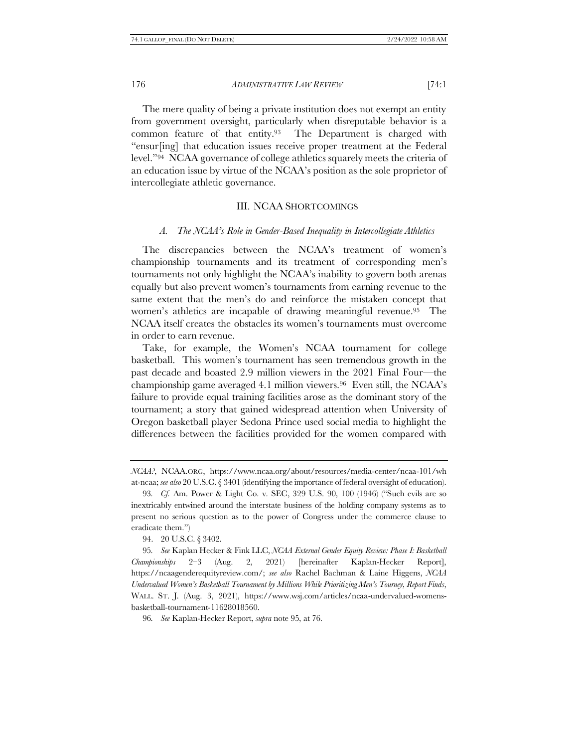The mere quality of being a private institution does not exempt an entity from government oversight, particularly when disreputable behavior is a common feature of that entity.93 The Department is charged with "ensur[ing] that education issues receive proper treatment at the Federal level."94 NCAA governance of college athletics squarely meets the criteria of an education issue by virtue of the NCAA's position as the sole proprietor of intercollegiate athletic governance.

#### <span id="page-15-1"></span>III. NCAA SHORTCOMINGS

# <span id="page-15-0"></span>*A. The NCAA's Role in Gender-Based Inequality in Intercollegiate Athletics*

The discrepancies between the NCAA's treatment of women's championship tournaments and its treatment of corresponding men's tournaments not only highlight the NCAA's inability to govern both arenas equally but also prevent women's tournaments from earning revenue to the same extent that the men's do and reinforce the mistaken concept that women's athletics are incapable of drawing meaningful revenue.95 The NCAA itself creates the obstacles its women's tournaments must overcome in order to earn revenue.

Take, for example, the Women's NCAA tournament for college basketball. This women's tournament has seen tremendous growth in the past decade and boasted 2.9 million viewers in the 2021 Final Four—the championship game averaged 4.1 million viewers.96 Even still, the NCAA's failure to provide equal training facilities arose as the dominant story of the tournament; a story that gained widespread attention when University of Oregon basketball player Sedona Prince used social media to highlight the differences between the facilities provided for the women compared with

*NCAA?*, NCAA.ORG, https://www.ncaa.org/about/resources/media-center/ncaa-101/wh at-ncaa; *see also* 20 U.S.C. § 3401 (identifying the importance of federal oversight of education).

<sup>93</sup>*. Cf.* Am. Power & Light Co. v. SEC, 329 U.S. 90, 100 (1946) ("Such evils are so inextricably entwined around the interstate business of the holding company systems as to present no serious question as to the power of Congress under the commerce clause to eradicate them.")

<sup>94.</sup> 20 U.S.C. § 3402.

<sup>95</sup>*. See* Kaplan Hecker & Fink LLC, *NCAA External Gender Equity Review: Phase I: Basketball Championships* 2–3 (Aug. 2, 2021) [hereinafter Kaplan-Hecker Report], https://ncaagenderequityreview.com/; *see also* Rachel Bachman & Laine Higgens, *NCAA Undervalued Women's Basketball Tournament by Millions While Prioritizing Men's Tourney, Report Finds*, WALL. ST. J. (Aug. 3, 2021), https://www.wsj.com/articles/ncaa-undervalued-womensbasketball-tournament-11628018560.

<sup>96</sup>*. See* Kaplan-Hecker Report, *supra* note [95,](#page-15-1) at 76.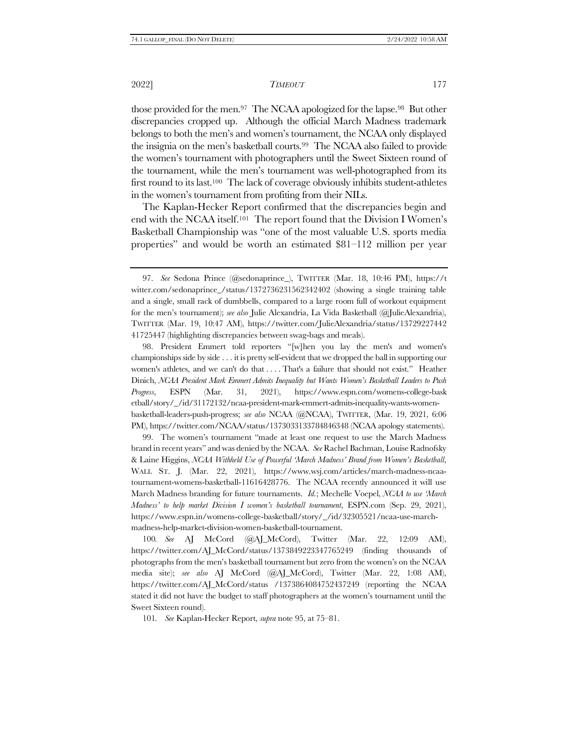those provided for the men.97 The NCAA apologized for the lapse.98 But other discrepancies cropped up. Although the official March Madness trademark belongs to both the men's and women's tournament, the NCAA only displayed the insignia on the men's basketball courts.99 The NCAA also failed to provide the women's tournament with photographers until the Sweet Sixteen round of the tournament, while the men's tournament was well-photographed from its first round to its last.<sup>100</sup> The lack of coverage obviously inhibits student-athletes in the women's tournament from profiting from their NILs.

The Kaplan-Hecker Report confirmed that the discrepancies begin and end with the NCAA itself.101 The report found that the Division I Women's Basketball Championship was "one of the most valuable U.S. sports media properties" and would be worth an estimated \$81–112 million per year

98. President Emmert told reporters "[w]hen you lay the men's and women's championships side by side . . . it is pretty self-evident that we dropped the ball in supporting our women's athletes, and we can't do that . . . . That's a failure that should not exist." Heather Dinich, *NCAA President Mark Emmert Admits Inequality but Wants Women's Basketball Leaders to Push Progress*, ESPN (Mar. 31, 2021), https://www.espn.com/womens-college-bask etball/story/\_/id/31172132/ncaa-president-mark-emmert-admits-inequality-wants-womenbasketball-leaders-push-progress; *see also* NCAA (@NCAA), TWITTER, (Mar. 19, 2021, 6:06 PM), https://twitter.com/NCAA/status/1373033133784846348 (NCAA apology statements).

99. The women's tournament "made at least one request to use the March Madness brand in recent years" and was denied by the NCAA. *See* Rachel Bachman, Louise Radnofsky & Laine Higgins, *NCAA Withheld Use of Powerful 'March Madness' Brand from Women's Basketball*, WALL ST. J. (Mar. 22, 2021), https://www.wsj.com/articles/march-madness-ncaatournament-womens-basketball-11616428776. The NCAA recently announced it will use March Madness branding for future tournaments. *Id.*; Mechelle Voepel, *NCAA to use 'March Madness' to help market Division I women's basketball tournament*, ESPN.com (Sep. 29, 2021), https://www.espn.in/womens-college-basketball/story/\_/id/32305521/ncaa-use-marchmadness-help-market-division-women-basketball-tournament.

100*. See* AJ McCord (@AJ\_McCord), Twitter (Mar. 22, 12:09 AM), https://twitter.com/AJ\_McCord/status/1373849223347765249 (finding thousands of photographs from the men's basketball tournament but zero from the women's on the NCAA media site); *see also* AJ McCord (@AJ\_McCord), Twitter (Mar. 22, 1:08 AM), https://twitter.com/AJ\_McCord/status /1373864084752437249 (reporting the NCAA stated it did not have the budget to staff photographers at the women's tournament until the Sweet Sixteen round).

101*. See* Kaplan-Hecker Report, *supra* not[e 95,](#page-15-1) at 75–81.

<sup>97.</sup> *See* Sedona Prince (@sedonaprince\_), TWITTER (Mar. 18, 10:46 PM), https://t witter.com/sedonaprince\_/status/1372736231562342402 (showing a single training table and a single, small rack of dumbbells, compared to a large room full of workout equipment for the men's tournament); *see also* Julie Alexandria, La Vida Basketball (@JulieAlexandria), TWITTER (Mar. 19, 10:47 AM), https://twitter.com/JulieAlexandria/status/13729227442 41725447 (highlighting discrepancies between swag-bags and meals).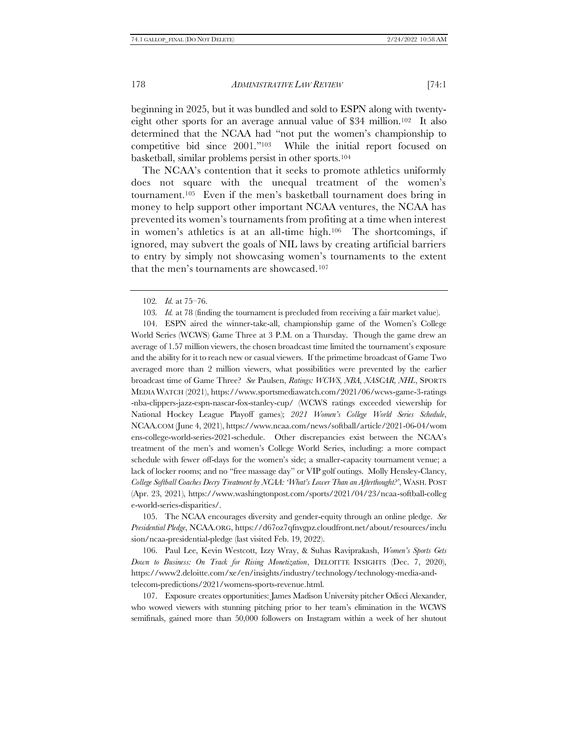beginning in 2025, but it was bundled and sold to ESPN along with twentyeight other sports for an average annual value of \$34 million.102 It also determined that the NCAA had "not put the women's championship to competitive bid since 2001."103 While the initial report focused on basketball, similar problems persist in other sports.<sup>104</sup>

The NCAA's contention that it seeks to promote athletics uniformly does not square with the unequal treatment of the women's tournament.<sup>105</sup> Even if the men's basketball tournament does bring in money to help support other important NCAA ventures, the NCAA has prevented its women's tournaments from profiting at a time when interest in women's athletics is at an all-time high.106 The shortcomings, if ignored, may subvert the goals of NIL laws by creating artificial barriers to entry by simply not showcasing women's tournaments to the extent that the men's tournaments are showcased.<sup>107</sup>

102*. Id.* at 75–76.

103*. Id.* at 78 (finding the tournament is precluded from receiving a fair market value).

104. ESPN aired the winner-take-all, championship game of the Women's College World Series (WCWS) Game Three at 3 P.M. on a Thursday. Though the game drew an average of 1.57 million viewers, the chosen broadcast time limited the tournament's exposure and the ability for it to reach new or casual viewers. If the primetime broadcast of Game Two averaged more than 2 million viewers, what possibilities were prevented by the earlier broadcast time of Game Three? *See* Paulsen, *Ratings: WCWS, NBA, NASCAR, NHL*, SPORTS MEDIA WATCH (2021), https://www.sportsmediawatch.com/2021/06/wcws-game-3-ratings -nba-clippers-jazz-espn-nascar-fox-stanley-cup/ (WCWS ratings exceeded viewership for National Hockey League Playoff games); *2021 Women's College World Series Schedule*, NCAA.COM (June 4, 2021), https://www.ncaa.com/news/softball/article/2021-06-04/wom ens-college-world-series-2021-schedule. Other discrepancies exist between the NCAA's treatment of the men's and women's College World Series, including: a more compact schedule with fewer off-days for the women's side; a smaller-capacity tournament venue; a lack of locker rooms; and no "free massage day" or VIP golf outings. Molly Hensley-Clancy, *College Softball Coaches Decry Treatment by NCAA: 'What's Lower Than an Afterthought?'*, WASH. POST (Apr. 23, 2021), https://www.washingtonpost.com/sports/2021/04/23/ncaa-softball-colleg e-world-series-disparities/.

105. The NCAA encourages diversity and gender-equity through an online pledge. *See Presidential Pledge*, NCAA.ORG, https://d67oz7qfnvgpz.cloudfront.net/about/resources/inclu sion/ncaa-presidential-pledge (last visited Feb. 19, 2022).

106. Paul Lee, Kevin Westcott, Izzy Wray, & Suhas Raviprakash, *Women's Sports Gets Down to Business: On Track for Rising Monetization*, DELOITTE INSIGHTS (Dec. 7, 2020), https://www2.deloitte.com/xe/en/insights/industry/technology/technology-media-andtelecom-predictions/2021/womens-sports-revenue.html.

107. Exposure creates opportunities: James Madison University pitcher Odicci Alexander, who wowed viewers with stunning pitching prior to her team's elimination in the WCWS semifinals, gained more than 50,000 followers on Instagram within a week of her shutout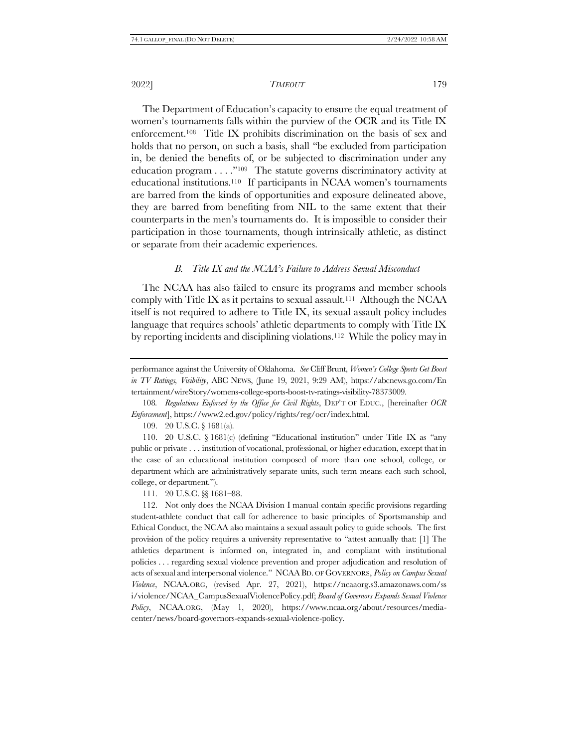<span id="page-18-1"></span>The Department of Education's capacity to ensure the equal treatment of women's tournaments falls within the purview of the OCR and its Title IX enforcement. <sup>108</sup> Title IX prohibits discrimination on the basis of sex and holds that no person, on such a basis, shall "be excluded from participation in, be denied the benefits of, or be subjected to discrimination under any education program . . . ."109 The statute governs discriminatory activity at educational institutions.110 If participants in NCAA women's tournaments are barred from the kinds of opportunities and exposure delineated above, they are barred from benefiting from NIL to the same extent that their counterparts in the men's tournaments do. It is impossible to consider their participation in those tournaments, though intrinsically athletic, as distinct or separate from their academic experiences.

# <span id="page-18-0"></span>*B. Title IX and the NCAA's Failure to Address Sexual Misconduct*

The NCAA has also failed to ensure its programs and member schools comply with Title IX as it pertains to sexual assault.<sup>111</sup> Although the NCAA itself is not required to adhere to Title IX, its sexual assault policy includes language that requires schools' athletic departments to comply with Title IX by reporting incidents and disciplining violations.<sup>112</sup> While the policy may in

109. 20 U.S.C. § 1681(a).

110. 20 U.S.C. § 1681(c) (defining "Educational institution" under Title IX as "any public or private . . . institution of vocational, professional, or higher education, except that in the case of an educational institution composed of more than one school, college, or department which are administratively separate units, such term means each such school, college, or department.").

111. 20 U.S.C. §§ 1681–88.

112. Not only does the NCAA Division I manual contain specific provisions regarding student-athlete conduct that call for adherence to basic principles of Sportsmanship and Ethical Conduct, the NCAA also maintains a sexual assault policy to guide schools. The first provision of the policy requires a university representative to "attest annually that: [1] The athletics department is informed on, integrated in, and compliant with institutional policies . . . regarding sexual violence prevention and proper adjudication and resolution of acts of sexual and interpersonal violence." NCAABD. OF GOVERNORS, *Policy on Campus Sexual Violence*, NCAA.ORG, (revised Apr. 27, 2021), https://ncaaorg.s3.amazonaws.com/ss i/violence/NCAA\_CampusSexualViolencePolicy.pdf; *Board of Governors Expands Sexual Violence Policy*, NCAA.ORG, (May 1, 2020), https://www.ncaa.org/about/resources/mediacenter/news/board-governors-expands-sexual-violence-policy.

performance against the University of Oklahoma. *See* Cliff Brunt, *Women's College Sports Get Boost in TV Ratings, Visibility*, ABC NEWS, (June 19, 2021, 9:29 AM), https://abcnews.go.com/En tertainment/wireStory/womens-college-sports-boost-tv-ratings-visibility-78373009.

<sup>108</sup>*. Regulations Enforced by the Office for Civil Rights*, DEP'T OF EDUC., [hereinafter *OCR Enforcement*], https://www2.ed.gov/policy/rights/reg/ocr/index.html.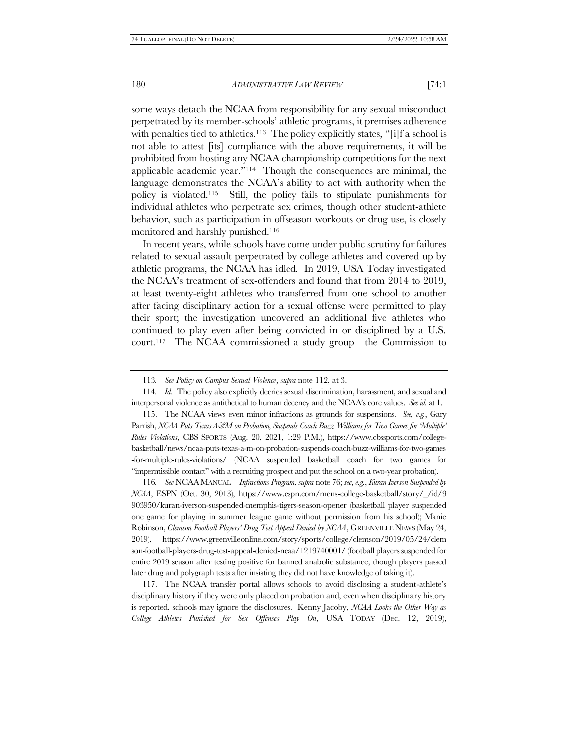some ways detach the NCAA from responsibility for any sexual misconduct perpetrated by its member-schools' athletic programs, it premises adherence with penalties tied to athletics.<sup>113</sup> The policy explicitly states, "[i]f a school is not able to attest [its] compliance with the above requirements, it will be prohibited from hosting any NCAA championship competitions for the next applicable academic year."114 Though the consequences are minimal, the language demonstrates the NCAA's ability to act with authority when the policy is violated.115 Still, the policy fails to stipulate punishments for individual athletes who perpetrate sex crimes, though other student-athlete behavior, such as participation in offseason workouts or drug use, is closely monitored and harshly punished.<sup>116</sup>

In recent years, while schools have come under public scrutiny for failures related to sexual assault perpetrated by college athletes and covered up by athletic programs, the NCAA has idled. In 2019, USA Today investigated the NCAA's treatment of sex-offenders and found that from 2014 to 2019, at least twenty-eight athletes who transferred from one school to another after facing disciplinary action for a sexual offense were permitted to play their sport; the investigation uncovered an additional five athletes who continued to play even after being convicted in or disciplined by a U.S. court.117 The NCAA commissioned a study group—the Commission to

115. The NCAA views even minor infractions as grounds for suspensions. *See, e.g.*, Gary Parrish, *NCAA Puts Texas A&M on Probation, Suspends Coach Buzz Williams for Two Games for 'Multiple' Rules Violations*, CBS SPORTS (Aug. 20, 2021, 1:29 P.M.), https://www.cbssports.com/collegebasketball/news/ncaa-puts-texas-a-m-on-probation-suspends-coach-buzz-williams-for-two-games -for-multiple-rules-violations/ (NCAA suspended basketball coach for two games for "impermissible contact" with a recruiting prospect and put the school on a two-year probation).

116*. See* NCAAMANUAL—*Infractions Program*, *supra* not[e 76;](#page-11-0) *see, e.g.*, *Kuran Iverson Suspended by NCAA*, ESPN (Oct. 30, 2013), https://www.espn.com/mens-college-basketball/story/\_/id/9 903950/kuran-iverson-suspended-memphis-tigers-season-opener (basketball player suspended one game for playing in summer league game without permission from his school); Manie Robinson, *Clemson Football Players' Drug Test Appeal Denied by NCAA*, GREENVILLE NEWS (May 24, 2019), https://www.greenvilleonline.com/story/sports/college/clemson/2019/05/24/clem son-football-players-drug-test-appeal-denied-ncaa/1219740001/ (football players suspended for entire 2019 season after testing positive for banned anabolic substance, though players passed later drug and polygraph tests after insisting they did not have knowledge of taking it).

117. The NCAA transfer portal allows schools to avoid disclosing a student-athlete's disciplinary history if they were only placed on probation and, even when disciplinary history is reported, schools may ignore the disclosures. Kenny Jacoby, *NCAA Looks the Other Way as College Athletes Punished for Sex Offenses Play On*, USA TODAY (Dec. 12, 2019),

<sup>113</sup>*. See Policy on Campus Sexual Violence*, *supra* note [112,](#page-18-0) at 3.

<sup>114</sup>*. Id.* The policy also explicitly decries sexual discrimination, harassment, and sexual and interpersonal violence as antithetical to human decency and the NCAA's core values. *See id.* at 1.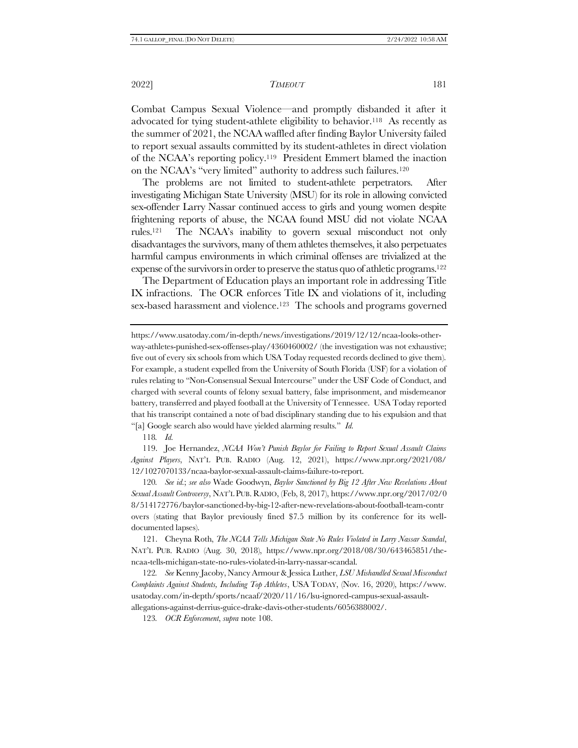Combat Campus Sexual Violence—and promptly disbanded it after it advocated for tying student-athlete eligibility to behavior.118 As recently as the summer of 2021, the NCAA waffled after finding Baylor University failed to report sexual assaults committed by its student-athletes in direct violation of the NCAA's reporting policy.119 President Emmert blamed the inaction on the NCAA's "very limited" authority to address such failures.<sup>120</sup>

The problems are not limited to student-athlete perpetrators. After investigating Michigan State University (MSU) for its role in allowing convicted sex-offender Larry Nassar continued access to girls and young women despite frightening reports of abuse, the NCAA found MSU did not violate NCAA rules.121 The NCAA's inability to govern sexual misconduct not only disadvantages the survivors, many of them athletes themselves, it also perpetuates harmful campus environments in which criminal offenses are trivialized at the expense of the survivors in order to preserve the status quo of athletic programs.<sup>122</sup>

The Department of Education plays an important role in addressing Title IX infractions. The OCR enforces Title IX and violations of it, including sex-based harassment and violence.<sup>123</sup> The schools and programs governed

https://www.usatoday.com/in-depth/news/investigations/2019/12/12/ncaa-looks-otherway-athletes-punished-sex-offenses-play/4360460002/ (the investigation was not exhaustive; five out of every six schools from which USA Today requested records declined to give them). For example, a student expelled from the University of South Florida (USF) for a violation of rules relating to "Non-Consensual Sexual Intercourse" under the USF Code of Conduct, and charged with several counts of felony sexual battery, false imprisonment, and misdemeanor battery, transferred and played football at the University of Tennessee. USA Today reported that his transcript contained a note of bad disciplinary standing due to his expulsion and that "[a] Google search also would have yielded alarming results." *Id.*

118*. Id.*

119. Joe Hernandez, *NCAA Won't Punish Baylor for Failing to Report Sexual Assault Claims Against Players*, NAT'L PUB. RADIO (Aug. 12, 2021), https://www.npr.org/2021/08/ 12/1027070133/ncaa-baylor-sexual-assault-claims-failure-to-report.

120*. See id.*; *see also* Wade Goodwyn, *Baylor Sanctioned by Big 12 After New Revelations About Sexual Assault Controversy*, NAT'L PUB. RADIO, (Feb, 8, 2017), https://www.npr.org/2017/02/0 8/514172776/baylor-sanctioned-by-big-12-after-new-revelations-about-football-team-contr overs (stating that Baylor previously fined \$7.5 million by its conference for its welldocumented lapses).

121. Cheyna Roth, *The NCAA Tells Michigan State No Rules Violated in Larry Nassar Scandal*, NAT'L PUB. RADIO (Aug. 30, 2018), https://www.npr.org/2018/08/30/643465851/thencaa-tells-michigan-state-no-rules-violated-in-larry-nassar-scandal.

122*. See* Kenny Jacoby, Nancy Armour & Jessica Luther, *LSU Mishandled Sexual Misconduct Complaints Against Students, Including Top Athletes*, USA TODAY, (Nov. 16, 2020), https://www. usatoday.com/in-depth/sports/ncaaf/2020/11/16/lsu-ignored-campus-sexual-assaultallegations-against-derrius-guice-drake-davis-other-students/6056388002/.

123*. OCR Enforcement*, *supra* not[e 108.](#page-18-1)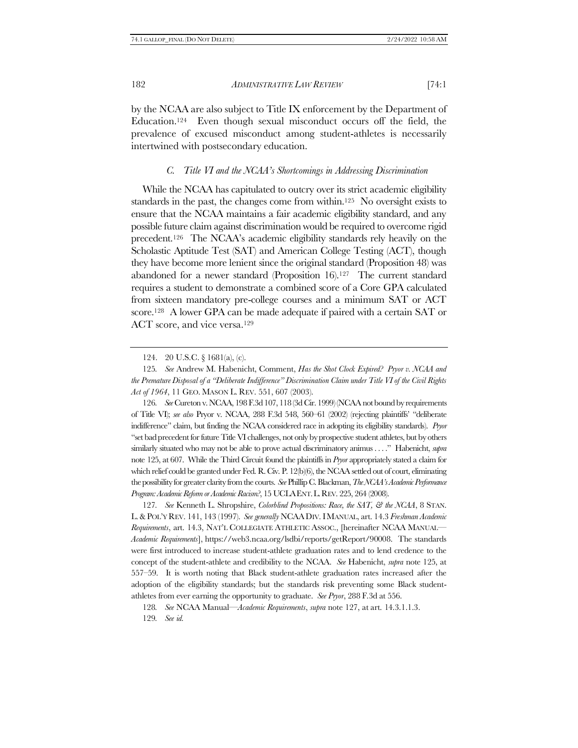by the NCAA are also subject to Title IX enforcement by the Department of

Education.124 Even though sexual misconduct occurs off the field, the prevalence of excused misconduct among student-athletes is necessarily intertwined with postsecondary education.

# <span id="page-21-1"></span><span id="page-21-0"></span>*C. Title VI and the NCAA's Shortcomings in Addressing Discrimination*

<span id="page-21-2"></span>While the NCAA has capitulated to outcry over its strict academic eligibility standards in the past, the changes come from within.125 No oversight exists to ensure that the NCAA maintains a fair academic eligibility standard, and any possible future claim against discrimination would be required to overcome rigid precedent.<sup>126</sup> The NCAA's academic eligibility standards rely heavily on the Scholastic Aptitude Test (SAT) and American College Testing (ACT), though they have become more lenient since the original standard (Proposition 48) was abandoned for a newer standard (Proposition 16).127 The current standard requires a student to demonstrate a combined score of a Core GPA calculated from sixteen mandatory pre-college courses and a minimum SAT or ACT score.128 A lower GPA can be made adequate if paired with a certain SAT or ACT score, and vice versa.<sup>129</sup>

126*. See* Cureton v. NCAA, 198 F.3d 107, 118 (3d Cir. 1999) (NCAA not bound by requirements of Title VI); *see also* Pryor v. NCAA, 288 F.3d 548, 560–61 (2002) (rejecting plaintiffs' "deliberate indifference" claim, but finding the NCAA considered race in adopting its eligibility standards). *Pryor* "set bad precedent for future Title VI challenges, not only by prospective student athletes, but by others similarly situated who may not be able to prove actual discriminatory animus . . . ." Habenicht, *supra* not[e 125,](#page-21-0) at 607. While the Third Circuit found the plaintiffs in *Pryor* appropriately stated a claim for which relief could be granted under Fed. R. Civ. P. 12(b)(6), the NCAA settled out of court, eliminating the possibility for greater clarity from the courts. *See* Phillip C. Blackman, *The NCAA's Academic Performance Program: Academic Reform or Academic Racism?*, 15 UCLAENT.L.REV. 225, 264 (2008).

127*. See* Kenneth L. Shropshire, *Colorblind Propositions: Race, the SAT, & the NCAA*, 8 STAN. L.&POL'Y REV. 141, 143 (1997). *See generally* NCAADIV.IMANUAL, art. 14.3 *Freshman Academic Requirements*, art. 14.3, NAT'L COLLEGIATE ATHLETIC ASSOC., [hereinafter NCAA MANUAL— *Academic Requirements*], https://web3.ncaa.org/lsdbi/reports/getReport/90008. The standards were first introduced to increase student-athlete graduation rates and to lend credence to the concept of the student-athlete and credibility to the NCAA. *See* Habenicht, *supra* note [125,](#page-21-0) at 557–59. It is worth noting that Black student-athlete graduation rates increased after the adoption of the eligibility standards; but the standards risk preventing some Black studentathletes from ever earning the opportunity to graduate. *See Pryor*, 288 F.3d at 556.

128*. See* NCAA Manual—*Academic Requirements*, *supra* not[e 127,](#page-21-1) at art. 14.3.1.1.3. 129*. See id.* 

<sup>124.</sup> 20 U.S.C. § 1681(a), (c).

<sup>125</sup>*. See* Andrew M. Habenicht, Comment, *Has the Shot Clock Expired? Pryor v. NCAA and the Premature Disposal of a "Deliberate Indifference" Discrimination Claim under Title VI of the Civil Rights Act of 1964*, 11 GEO. MASON L. REV. 551, 607 (2003).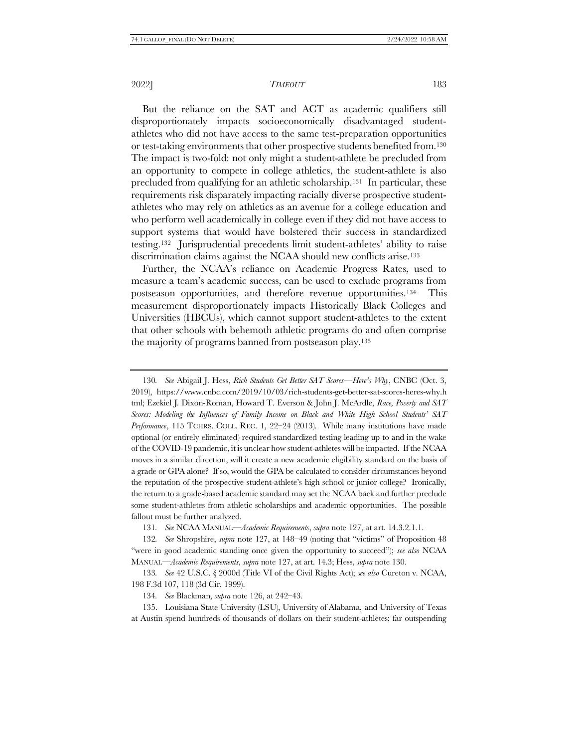<span id="page-22-0"></span>But the reliance on the SAT and ACT as academic qualifiers still disproportionately impacts socioeconomically disadvantaged studentathletes who did not have access to the same test-preparation opportunities or test-taking environments that other prospective students benefited from.<sup>130</sup> The impact is two-fold: not only might a student-athlete be precluded from an opportunity to compete in college athletics, the student-athlete is also precluded from qualifying for an athletic scholarship.131 In particular, these requirements risk disparately impacting racially diverse prospective studentathletes who may rely on athletics as an avenue for a college education and who perform well academically in college even if they did not have access to support systems that would have bolstered their success in standardized testing.132 Jurisprudential precedents limit student-athletes' ability to raise discrimination claims against the NCAA should new conflicts arise.<sup>133</sup>

Further, the NCAA's reliance on Academic Progress Rates, used to measure a team's academic success, can be used to exclude programs from postseason opportunities, and therefore revenue opportunities.134 This measurement disproportionately impacts Historically Black Colleges and Universities (HBCUs), which cannot support student-athletes to the extent that other schools with behemoth athletic programs do and often comprise the majority of programs banned from postseason play.<sup>135</sup>

130*. See* Abigail J. Hess, *Rich Students Get Better SAT Scores—Here's Why*, CNBC (Oct. 3, 2019), https://www.cnbc.com/2019/10/03/rich-students-get-better-sat-scores-heres-why.h tml; Ezekiel J. Dixon-Roman, Howard T. Everson & John J. McArdle, *Race, Poverty and SAT Scores: Modeling the Influences of Family Income on Black and White High School Students' SAT Performance*, 115 TCHRS. COLL. REC. 1, 22–24 (2013). While many institutions have made optional (or entirely eliminated) required standardized testing leading up to and in the wake of the COVID-19 pandemic, it is unclear how student-athletes will be impacted. If the NCAA moves in a similar direction, will it create a new academic eligibility standard on the basis of a grade or GPA alone? If so, would the GPA be calculated to consider circumstances beyond the reputation of the prospective student-athlete's high school or junior college? Ironically, the return to a grade-based academic standard may set the NCAA back and further preclude some student-athletes from athletic scholarships and academic opportunities. The possible fallout must be further analyzed.

131*. See* NCAA MANUAL—*Academic Requirements*, *supra* note [127,](#page-21-1) at art. 14.3.2.1.1.

132*. See* Shropshire, *supra* note [127,](#page-21-1) at 148–49 (noting that "victims" of Proposition 48 "were in good academic standing once given the opportunity to succeed"); *see also* NCAA MANUAL—*Academic Requirements*, *supra* not[e 127,](#page-21-1) at art. 14.3; Hess, *supra* not[e 130.](#page-22-0)

133*. See* 42 U.S.C. § 2000d (Title VI of the Civil Rights Act); *see also* Cureton v. NCAA, 198 F.3d 107, 118 (3d Cir. 1999).

134*. See* Blackman, *supra* not[e 126,](#page-21-2) at 242–43.

135. Louisiana State University (LSU), University of Alabama, and University of Texas at Austin spend hundreds of thousands of dollars on their student-athletes; far outspending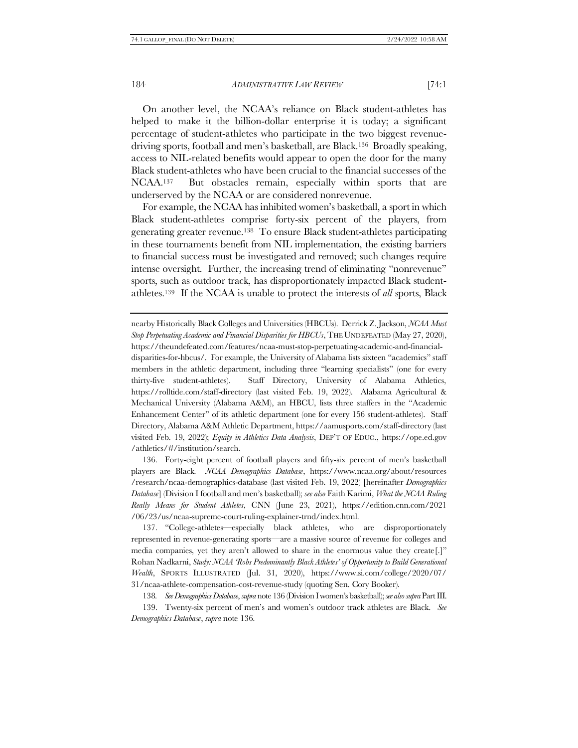<span id="page-23-0"></span>On another level, the NCAA's reliance on Black student-athletes has helped to make it the billion-dollar enterprise it is today; a significant percentage of student-athletes who participate in the two biggest revenuedriving sports, football and men's basketball, are Black.136 Broadly speaking, access to NIL-related benefits would appear to open the door for the many Black student-athletes who have been crucial to the financial successes of the NCAA.137 But obstacles remain, especially within sports that are underserved by the NCAA or are considered nonrevenue.

For example, the NCAA has inhibited women's basketball, a sport in which Black student-athletes comprise forty-six percent of the players, from generating greater revenue.138 To ensure Black student-athletes participating in these tournaments benefit from NIL implementation, the existing barriers to financial success must be investigated and removed; such changes require intense oversight. Further, the increasing trend of eliminating "nonrevenue" sports, such as outdoor track, has disproportionately impacted Black studentathletes.139 If the NCAA is unable to protect the interests of *all* sports, Black

nearby Historically Black Colleges and Universities (HBCUs). Derrick Z. Jackson, *NCAA Must Stop Perpetuating Academic and Financial Disparities for HBCUs*, THE UNDEFEATED (May 27, 2020), https://theundefeated.com/features/ncaa-must-stop-perpetuating-academic-and-financialdisparities-for-hbcus/. For example, the University of Alabama lists sixteen "academics" staff members in the athletic department, including three "learning specialists" (one for every thirty-five student-athletes). Staff Directory, University of Alabama Athletics, https://rolltide.com/staff-directory (last visited Feb. 19, 2022). Alabama Agricultural & Mechanical University (Alabama A&M), an HBCU, lists three staffers in the "Academic Enhancement Center" of its athletic department (one for every 156 student-athletes). Staff Directory, Alabama A&M Athletic Department, https://aamusports.com/staff-directory (last visited Feb. 19, 2022); *Equity in Athletics Data Analysis*, DEP'T OF EDUC., https://ope.ed.gov /athletics/#/institution/search.

136. Forty-eight percent of football players and fifty-six percent of men's basketball players are Black. *NCAA Demographics Database*, https://www.ncaa.org/about/resources /research/ncaa-demographics-database (last visited Feb. 19, 2022) [hereinafter *Demographics Database*] (Division I football and men's basketball); *see also* Faith Karimi, *What the NCAA Ruling Really Means for Student Athletes*, CNN (June 23, 2021), https://edition.cnn.com/2021 /06/23/us/ncaa-supreme-court-ruling-explainer-trnd/index.html.

137. "College-athletes—especially black athletes, who are disproportionately represented in revenue-generating sports—are a massive source of revenue for colleges and media companies, yet they aren't allowed to share in the enormous value they create[.]" Rohan Nadkarni, *Study: NCAA 'Robs Predominantly Black Athletes' of Opportunity to Build Generational Wealth*, SPORTS ILLUSTRATED (Jul. 31, 2020), https://www.si.com/college/2020/07/ 31/ncaa-athlete-compensation-cost-revenue-study (quoting Sen. Cory Booker).

138*. See Demographics Database*, *supra* not[e 136](#page-23-0) (Division I women's basketball); *see also supra*Par[t III.](#page-15-0)

139. Twenty-six percent of men's and women's outdoor track athletes are Black. *See Demographics Database*, *supra* not[e 136.](#page-23-0)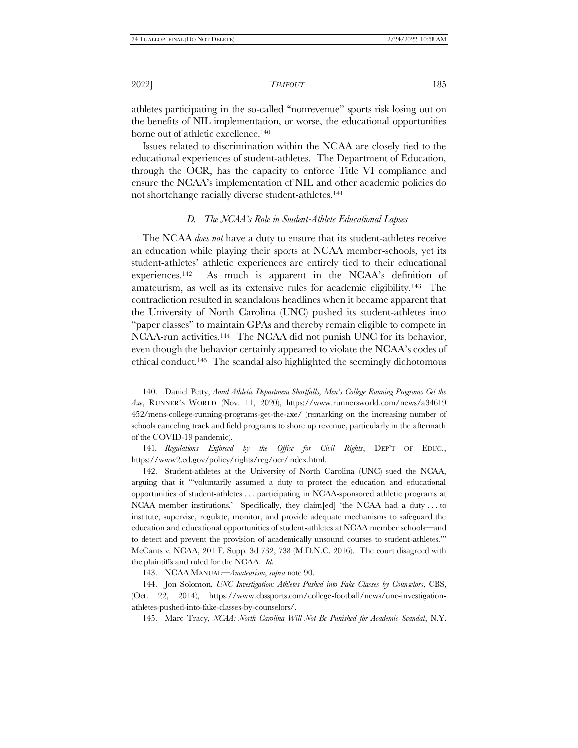athletes participating in the so-called "nonrevenue" sports risk losing out on the benefits of NIL implementation, or worse, the educational opportunities borne out of athletic excellence.<sup>140</sup>

Issues related to discrimination within the NCAA are closely tied to the educational experiences of student-athletes. The Department of Education, through the OCR, has the capacity to enforce Title VI compliance and ensure the NCAA's implementation of NIL and other academic policies do not shortchange racially diverse student-athletes. 141

# *D. The NCAA's Role in Student-Athlete Educational Lapses*

The NCAA *does not* have a duty to ensure that its student-athletes receive an education while playing their sports at NCAA member-schools, yet its student-athletes' athletic experiences are entirely tied to their educational experiences.142 As much is apparent in the NCAA's definition of amateurism, as well as its extensive rules for academic eligibility.143 The contradiction resulted in scandalous headlines when it became apparent that the University of North Carolina (UNC) pushed its student-athletes into "paper classes" to maintain GPAs and thereby remain eligible to compete in NCAA-run activities.144 The NCAA did not punish UNC for its behavior, even though the behavior certainly appeared to violate the NCAA's codes of ethical conduct.145 The scandal also highlighted the seemingly dichotomous

141*. Regulations Enforced by the Office for Civil Rights*, DEP'T OF EDUC., https://www2.ed.gov/policy/rights/reg/ocr/index.html.

142. Student-athletes at the University of North Carolina (UNC) sued the NCAA, arguing that it "'voluntarily assumed a duty to protect the education and educational opportunities of student-athletes . . . participating in NCAA-sponsored athletic programs at NCAA member institutions.' Specifically, they claim[ed] 'the NCAA had a duty . . . to institute, supervise, regulate, monitor, and provide adequate mechanisms to safeguard the education and educational opportunities of student-athletes at NCAA member schools—and to detect and prevent the provision of academically unsound courses to student-athletes.'" McCants v. NCAA, 201 F. Supp. 3d 732, 738 (M.D.N.C. 2016). The court disagreed with the plaintiffs and ruled for the NCAA. *Id.*

143. NCAA MANUAL—*Amateurism*, *supra* note [90.](#page-14-0)

144. Jon Solomon, *UNC Investigation: Athletes Pushed into Fake Classes by Counselors*, CBS, (Oct. 22, 2014), https://www.cbssports.com/college-football/news/unc-investigationathletes-pushed-into-fake-classes-by-counselors/.

145. Marc Tracy, *NCAA: North Carolina Will Not Be Punished for Academic Scandal*, N.Y.

<sup>140.</sup> Daniel Petty, *Amid Athletic Department Shortfalls, Men's College Running Programs Get the Axe*, RUNNER'S WORLD (Nov. 11, 2020), https://www.runnersworld.com/news/a34619 452/mens-college-running-programs-get-the-axe/ (remarking on the increasing number of schools canceling track and field programs to shore up revenue, particularly in the aftermath of the COVID-19 pandemic).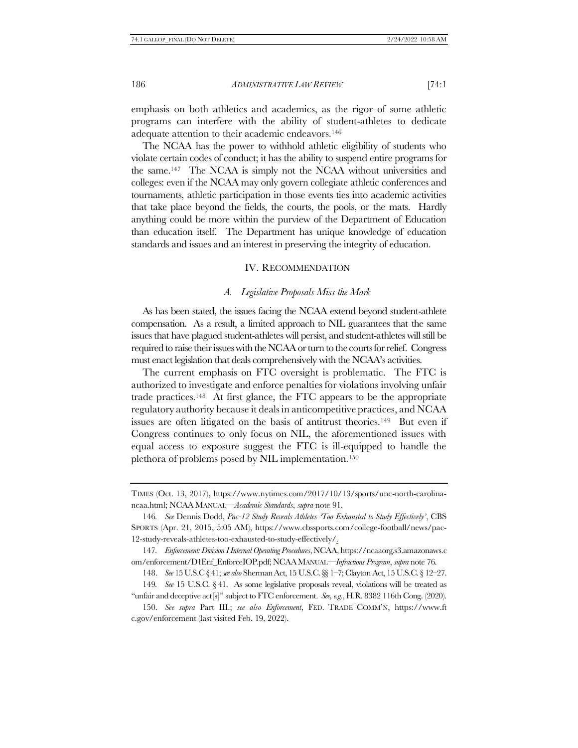emphasis on both athletics and academics, as the rigor of some athletic programs can interfere with the ability of student-athletes to dedicate adequate attention to their academic endeavors.<sup>146</sup>

The NCAA has the power to withhold athletic eligibility of students who violate certain codes of conduct; it has the ability to suspend entire programs for the same.147 The NCAA is simply not the NCAA without universities and colleges: even if the NCAA may only govern collegiate athletic conferences and tournaments, athletic participation in those events ties into academic activities that take place beyond the fields, the courts, the pools, or the mats. Hardly anything could be more within the purview of the Department of Education than education itself. The Department has unique knowledge of education standards and issues and an interest in preserving the integrity of education.

# IV. RECOMMENDATION

# <span id="page-25-0"></span>*A. Legislative Proposals Miss the Mark*

As has been stated, the issues facing the NCAA extend beyond student-athlete compensation. As a result, a limited approach to NIL guarantees that the same issues that have plagued student-athletes will persist, and student-athletes will still be required to raise their issues with the NCAA or turn to the courts for relief. Congress must enact legislation that deals comprehensively with the NCAA's activities.

The current emphasis on FTC oversight is problematic. The FTC is authorized to investigate and enforce penalties for violations involving unfair trade practices.148 At first glance, the FTC appears to be the appropriate regulatory authority because it deals in anticompetitive practices, and NCAA issues are often litigated on the basis of antitrust theories.149 But even if Congress continues to only focus on NIL, the aforementioned issues with equal access to exposure suggest the FTC is ill-equipped to handle the plethora of problems posed by NIL implementation.<sup>150</sup>

TIMES (Oct. 13, 2017), https://www.nytimes.com/2017/10/13/sports/unc-north-carolinancaa.html; NCAA MANUAL—*Academic Standards*, *supra* note [91.](#page-14-1)

<sup>146</sup>*. See* Dennis Dodd, *Pac-12 Study Reveals Athletes 'Too Exhausted to Study Effectively'*, CBS SPORTS (Apr. 21, 2015, 5:05 AM), https://www.cbssports.com/college-football/news/pac-12-study-reveals-athletes-too-exhausted-to-study-effectively/.

<sup>147</sup>*. Enforcement: Division I Internal Operating Procedures*, NCAA, https://ncaaorg.s3.amazonaws.c om/enforcement/D1Enf\_EnforceIOP.pdf; NCAAMANUAL—*Infractions Program*, *supra* note [76.](#page-11-0)

<sup>148.</sup> *See* 15 U.S.C § 41; *see also* Sherman Act, 15 U.S.C. §§ 1–7; Clayton Act, 15 U.S.C. § 12–27.

<sup>149</sup>*. See* 15 U.S.C. § 41. As some legislative proposals reveal, violations will be treated as "unfair and deceptive act[s]" subject to FTC enforcement. *See, e.g.*, H.R. 8382 116th Cong. (2020).

<sup>150.</sup> *See supra* Part [III.;](#page-15-0) *see also Enforcement*, FED. TRADE COMM'N, https://www.ft c.gov/enforcement (last visited Feb. 19, 2022).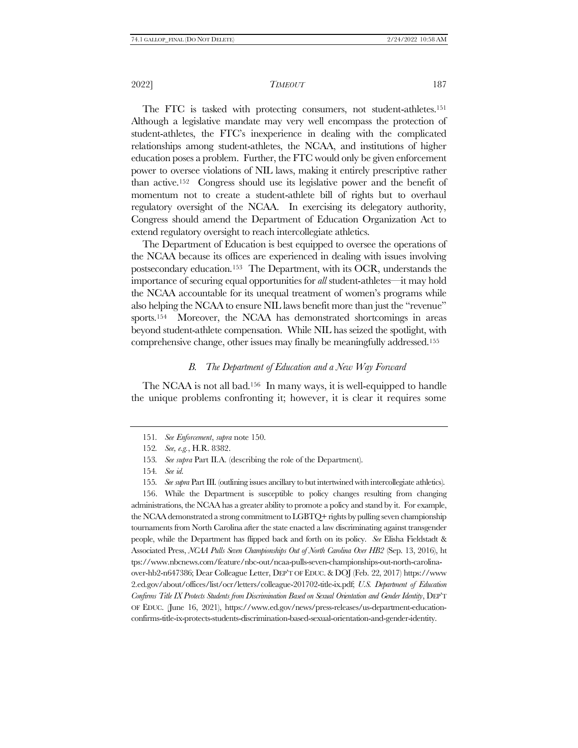The FTC is tasked with protecting consumers, not student-athletes.<sup>151</sup> Although a legislative mandate may very well encompass the protection of student-athletes, the FTC's inexperience in dealing with the complicated relationships among student-athletes, the NCAA, and institutions of higher education poses a problem. Further, the FTC would only be given enforcement power to oversee violations of NIL laws, making it entirely prescriptive rather than active.152 Congress should use its legislative power and the benefit of momentum not to create a student-athlete bill of rights but to overhaul regulatory oversight of the NCAA. In exercising its delegatory authority, Congress should amend the Department of Education Organization Act to extend regulatory oversight to reach intercollegiate athletics.

The Department of Education is best equipped to oversee the operations of the NCAA because its offices are experienced in dealing with issues involving postsecondary education.153 The Department, with its OCR, understands the importance of securing equal opportunities for *all* student-athletes—it may hold the NCAA accountable for its unequal treatment of women's programs while also helping the NCAA to ensure NIL laws benefit more than just the "revenue" sports.154 Moreover, the NCAA has demonstrated shortcomings in areas beyond student-athlete compensation. While NIL has seized the spotlight, with comprehensive change, other issues may finally be meaningfully addressed.<sup>155</sup>

# *B. The Department of Education and a New Way Forward*

The NCAA is not all bad.156 In many ways, it is well-equipped to handle the unique problems confronting it; however, it is clear it requires some

156. While the Department is susceptible to policy changes resulting from changing administrations, the NCAA has a greater ability to promote a policy and stand by it. For example, the NCAA demonstrated a strong commitment to LGBTQ+ rights by pulling seven championship tournaments from North Carolina after the state enacted a law discriminating against transgender people, while the Department has flipped back and forth on its policy. *See* Elisha Fieldstadt & Associated Press, *NCAA Pulls Seven Championships Out of North Carolina Over HB2* (Sep. 13, 2016), ht tps://www.nbcnews.com/feature/nbc-out/ncaa-pulls-seven-championships-out-north-carolinaover-hb2-n647386; Dear Colleague Letter, DEP'T OF EDUC.& DOJ (Feb. 22, 2017) https://www 2.ed.gov/about/offices/list/ocr/letters/colleague-201702-title-ix.pdf; *U.S. Department of Education Confirms Title IX Protects Students from Discrimination Based on Sexual Orientation and Gender Identity*, DEP'T OF EDUC. (June 16, 2021), https://www.ed.gov/news/press-releases/us-department-educationconfirms-title-ix-protects-students-discrimination-based-sexual-orientation-and-gender-identity.

<sup>151</sup>*. See Enforcement*, *supra* note [150.](#page-25-0)

<sup>152</sup>*. See, e.g.*, H.R. 8382.

<sup>153</sup>*. See supra* Part I[I.A.](#page-10-0) (describing the role of the Department).

<sup>154</sup>*. See id.*

<sup>155</sup>*. See supra* Par[t III.](#page-15-0) (outlining issues ancillary to but intertwined with intercollegiate athletics).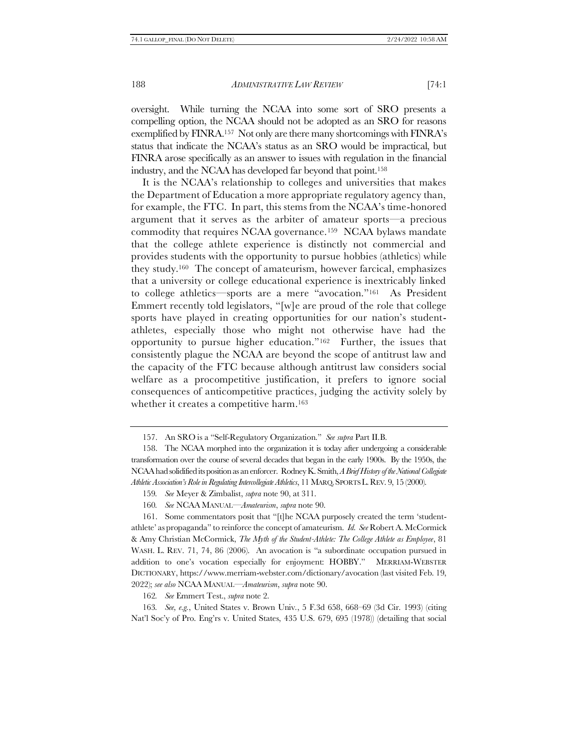oversight. While turning the NCAA into some sort of SRO presents a compelling option, the NCAA should not be adopted as an SRO for reasons exemplified by FINRA.<sup>157</sup> Not only are there many shortcomings with FINRA's status that indicate the NCAA's status as an SRO would be impractical, but FINRA arose specifically as an answer to issues with regulation in the financial industry, and the NCAA has developed far beyond that point.<sup>158</sup>

It is the NCAA's relationship to colleges and universities that makes the Department of Education a more appropriate regulatory agency than, for example, the FTC. In part, this stems from the NCAA's time-honored argument that it serves as the arbiter of amateur sports—a precious commodity that requires NCAA governance.159 NCAA bylaws mandate that the college athlete experience is distinctly not commercial and provides students with the opportunity to pursue hobbies (athletics) while they study.160 The concept of amateurism, however farcical, emphasizes that a university or college educational experience is inextricably linked to college athletics—sports are a mere "avocation."161 As President Emmert recently told legislators, "[w]e are proud of the role that college sports have played in creating opportunities for our nation's studentathletes, especially those who might not otherwise have had the opportunity to pursue higher education."162 Further, the issues that consistently plague the NCAA are beyond the scope of antitrust law and the capacity of the FTC because although antitrust law considers social welfare as a procompetitive justification, it prefers to ignore social consequences of anticompetitive practices, judging the activity solely by whether it creates a competitive harm.<sup>163</sup>

162*. See* Emmert Test., *supra* note [2.](#page-1-0)

163*. See, e.g.*, United States v. Brown Univ*.*, 5 F.3d 658, 668–69 (3d Cir. 1993) (citing Nat'l Soc'y of Pro. Eng'rs v. United States, 435 U.S. 679, 695 (1978)) (detailing that social

<sup>157.</sup> An SRO is a "Self-Regulatory Organization." *See supra* Part I[I.B.](#page-11-1)

<sup>158.</sup> The NCAA morphed into the organization it is today after undergoing a considerable transformation over the course of several decades that began in the early 1900s. By the 1950s, the NCAA had solidified its position as an enforcer. Rodney K. Smith, *A Brief History of the National Collegiate Athletic Association's Role in Regulating Intercollegiate Athletics*, 11 MARQ.SPORTS L.REV. 9, 15 (2000).

<sup>159</sup>*. See* Meyer & Zimbalist, *supra* not[e 90,](#page-14-0) at 311.

<sup>160</sup>*. See* NCAA MANUAL—*Amateurism*, *supra* not[e 90.](#page-14-0)

<sup>161.</sup> Some commentators posit that "[t]he NCAA purposely created the term 'studentathlete' as propaganda" to reinforce the concept of amateurism. *Id. See* Robert A. McCormick & Amy Christian McCormick, *The Myth of the Student-Athlete: The College Athlete as Employee*, 81 WASH. L. REV. 71, 74, 86 (2006). An avocation is "a subordinate occupation pursued in addition to one's vocation especially for enjoyment: HOBBY." MERRIAM-WEBSTER DICTIONARY, https://www.merriam-webster.com/dictionary/avocation (last visited Feb. 19, 2022); *see also* NCAA MANUAL—*Amateurism*, *supra* not[e 90.](#page-14-0)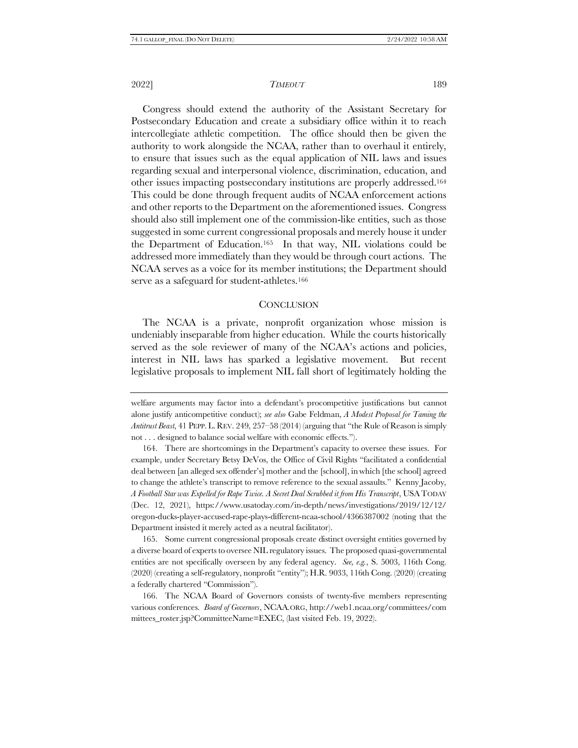Congress should extend the authority of the Assistant Secretary for Postsecondary Education and create a subsidiary office within it to reach intercollegiate athletic competition. The office should then be given the authority to work alongside the NCAA, rather than to overhaul it entirely, to ensure that issues such as the equal application of NIL laws and issues regarding sexual and interpersonal violence, discrimination, education, and other issues impacting postsecondary institutions are properly addressed.<sup>164</sup> This could be done through frequent audits of NCAA enforcement actions and other reports to the Department on the aforementioned issues. Congress should also still implement one of the commission-like entities, such as those suggested in some current congressional proposals and merely house it under the Department of Education.165 In that way, NIL violations could be addressed more immediately than they would be through court actions. The NCAA serves as a voice for its member institutions; the Department should serve as a safeguard for student-athletes.<sup>166</sup>

# **CONCLUSION**

The NCAA is a private, nonprofit organization whose mission is undeniably inseparable from higher education. While the courts historically served as the sole reviewer of many of the NCAA's actions and policies, interest in NIL laws has sparked a legislative movement. But recent legislative proposals to implement NIL fall short of legitimately holding the

165. Some current congressional proposals create distinct oversight entities governed by a diverse board of experts to oversee NIL regulatory issues. The proposed quasi-governmental entities are not specifically overseen by any federal agency. *See, e.g.*, S. 5003, 116th Cong. (2020) (creating a self-regulatory, nonprofit "entity"); H.R. 9033, 116th Cong. (2020) (creating a federally chartered "Commission").

welfare arguments may factor into a defendant's procompetitive justifications but cannot alone justify anticompetitive conduct); *see also* Gabe Feldman, *A Modest Proposal for Taming the Antitrust Beast*, 41 PEPP. L. REV. 249, 257–58 (2014) (arguing that "the Rule of Reason is simply not . . . designed to balance social welfare with economic effects.").

<sup>164.</sup> There are shortcomings in the Department's capacity to oversee these issues. For example, under Secretary Betsy DeVos, the Office of Civil Rights "facilitated a confidential deal between [an alleged sex offender's] mother and the [school], in which [the school] agreed to change the athlete's transcript to remove reference to the sexual assaults." Kenny Jacoby, *A Football Star was Expelled for Rape Twice. A Secret Deal Scrubbed it from His Transcript*, USATODAY (Dec. 12, 2021), https://www.usatoday.com/in-depth/news/investigations/2019/12/12/ oregon-ducks-player-accused-rape-plays-different-ncaa-school/4366387002 (noting that the Department insisted it merely acted as a neutral facilitator).

<sup>166.</sup> The NCAA Board of Governors consists of twenty-five members representing various conferences. *Board of Governors*, NCAA.ORG, http://web1.ncaa.org/committees/com mittees\_roster.jsp?CommitteeName=EXEC, (last visited Feb. 19, 2022).